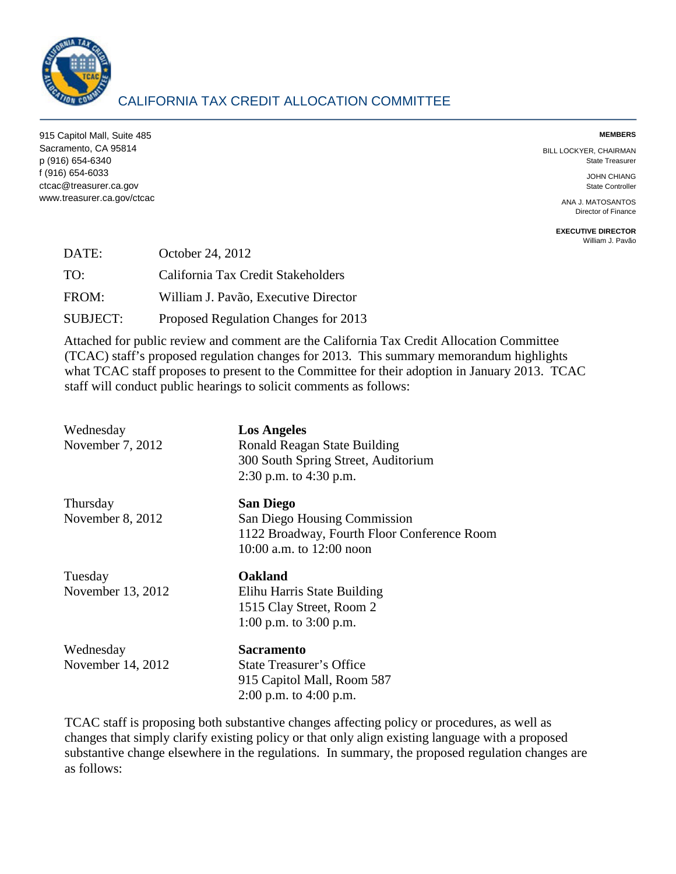

# CALIFORNIA TAX CREDIT ALLOCATION COMMITTEE

915 Capitol Mall, Suite 485 **MEMBERS**  Sacramento, CA 95814 BILL LOCKYER, CHAIRMAN p (916) 654-6340 State Treasurer f (916) 654-6033 JOHN CHIANG ctcac@treasurer.ca.gov State Controller www.treasurer.ca.gov/ctcac ANA J. MATOSANTOS

Director of Finance

**EXECUTIVE DIRECTOR**  [William J. Pavão](mailto:wpavao@treasurer.ca.gov) 

| DATE:           | October 24, 2012                     |
|-----------------|--------------------------------------|
| TO:             | California Tax Credit Stakeholders   |
| FROM:           | William J. Pavão, Executive Director |
| <b>SUBJECT:</b> | Proposed Regulation Changes for 2013 |

Attached for public review and comment are the California Tax Credit Allocation Committee (TCAC) staff's proposed regulation changes for 2013. This summary memorandum highlights what TCAC staff proposes to present to the Committee for their adoption in January 2013. TCAC staff will conduct public hearings to solicit comments as follows:

| Wednesday<br>November 7, 2012  | <b>Los Angeles</b><br>Ronald Reagan State Building<br>300 South Spring Street, Auditorium<br>2:30 p.m. to $4:30$ p.m.         |
|--------------------------------|-------------------------------------------------------------------------------------------------------------------------------|
| Thursday<br>November 8, 2012   | <b>San Diego</b><br>San Diego Housing Commission<br>1122 Broadway, Fourth Floor Conference Room<br>10:00 a.m. to $12:00$ noon |
| Tuesday<br>November 13, 2012   | Oakland<br>Elihu Harris State Building<br>1515 Clay Street, Room 2<br>1:00 p.m. to $3:00$ p.m.                                |
| Wednesday<br>November 14, 2012 | <b>Sacramento</b><br><b>State Treasurer's Office</b><br>915 Capitol Mall, Room 587<br>2:00 p.m. to $4:00$ p.m.                |

 changes that simply clarify existing policy or that only align existing language with a proposed TCAC staff is proposing both substantive changes affecting policy or procedures, as well as substantive change elsewhere in the regulations. In summary, the proposed regulation changes are as follows: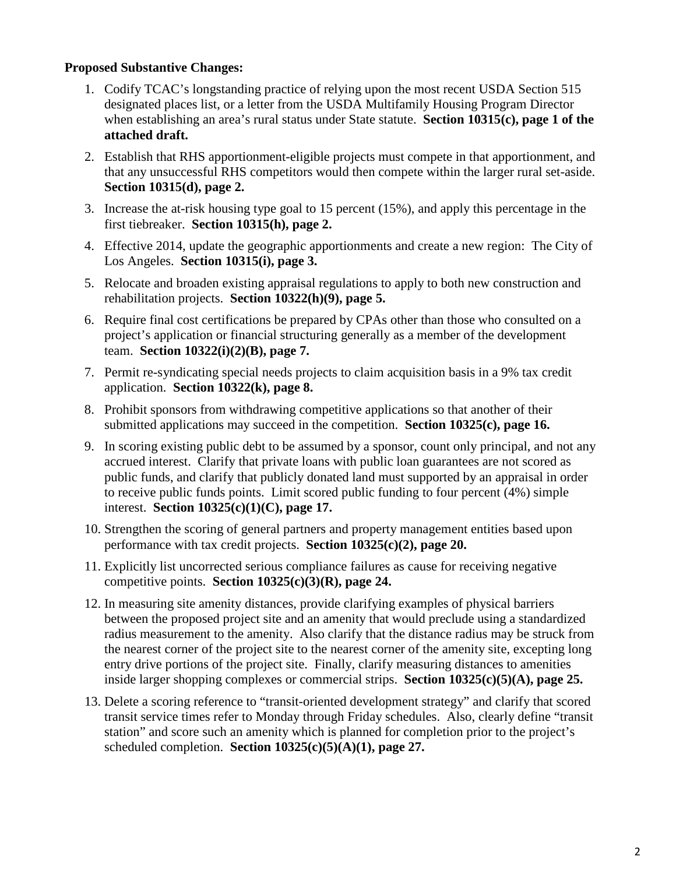# **Proposed Substantive Changes:**

- designated places list, or a letter from the USDA Multifamily Housing Program Director when establishing an area's rural status under State statute. **Section 10315(c), page 1 of the**  1. Codify TCAC's longstanding practice of relying upon the most recent USDA Section 515 **attached draft.**
- that any unsuccessful RHS competitors would then compete within the larger rural set-aside. 2. Establish that RHS apportionment-eligible projects must compete in that apportionment, and **Section 10315(d), page 2.**
- first tiebreaker. **Section 10315(h), page 2.**  3. Increase the at-risk housing type goal to 15 percent (15%), and apply this percentage in the
- 4. Effective 2014, update the geographic apportionments and create a new region: The City of Los Angeles. **Section 10315(i), page 3.**
- rehabilitation projects. **Section 10322(h)(9), page 5.**  5. Relocate and broaden existing appraisal regulations to apply to both new construction and
- project's application or financial structuring generally as a member of the development team. **Section 10322(i)(2)(B), page 7.**  6. Require final cost certifications be prepared by CPAs other than those who consulted on a
- application. **Section 10322(k), page 8.** 7. Permit re-syndicating special needs projects to claim acquisition basis in a 9% tax credit
- 8. Prohibit sponsors from withdrawing competitive applications so that another of their submitted applications may succeed in the competition. **Section 10325(c), page 16.**
- to receive public funds points. Limit scored public funding to four percent (4%) simple 9. In scoring existing public debt to be assumed by a sponsor, count only principal, and not any accrued interest. Clarify that private loans with public loan guarantees are not scored as public funds, and clarify that publicly donated land must supported by an appraisal in order interest. **Section 10325(c)(1)(C), page 17.**
- performance with tax credit projects. **Section 10325(c)(2), page 20.**  10. Strengthen the scoring of general partners and property management entities based upon
- 11. Explicitly list uncorrected serious compliance failures as cause for receiving negative competitive points. **Section 10325(c)(3)(R), page 24.**
- entry drive portions of the project site. Finally, clarify measuring distances to amenities 12. In measuring site amenity distances, provide clarifying examples of physical barriers between the proposed project site and an amenity that would preclude using a standardized radius measurement to the amenity. Also clarify that the distance radius may be struck from the nearest corner of the project site to the nearest corner of the amenity site, excepting long inside larger shopping complexes or commercial strips. **Section 10325(c)(5)(A), page 25.**
- 13. Delete a scoring reference to "transit-oriented development strategy" and clarify that scored transit service times refer to Monday through Friday schedules. Also, clearly define "transit station" and score such an amenity which is planned for completion prior to the project's scheduled completion. **Section 10325(c)(5)(A)(1), page 27.**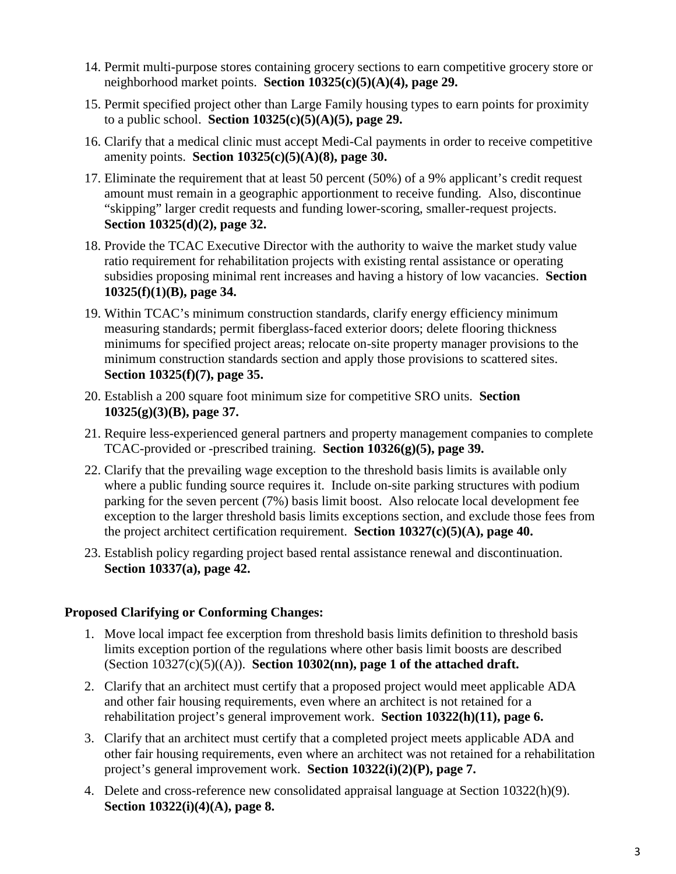- 14. Permit multi-purpose stores containing grocery sections to earn competitive grocery store or neighborhood market points. **Section 10325(c)(5)(A)(4), page 29.**
- 15. Permit specified project other than Large Family housing types to earn points for proximity to a public school. **Section 10325(c)(5)(A)(5), page 29.**
- 16. Clarify that a medical clinic must accept Medi-Cal payments in order to receive competitive amenity points. **Section 10325(c)(5)(A)(8), page 30.**
- "skipping" larger credit requests and funding lower-scoring, smaller-request projects. 17. Eliminate the requirement that at least 50 percent (50%) of a 9% applicant's credit request amount must remain in a geographic apportionment to receive funding. Also, discontinue **Section 10325(d)(2), page 32.**
- ratio requirement for rehabilitation projects with existing rental assistance or operating 18. Provide the TCAC Executive Director with the authority to waive the market study value subsidies proposing minimal rent increases and having a history of low vacancies. **Section 10325(f)(1)(B), page 34.**
- 19. Within TCAC's minimum construction standards, clarify energy efficiency minimum measuring standards; permit fiberglass-faced exterior doors; delete flooring thickness minimums for specified project areas; relocate on-site property manager provisions to the minimum construction standards section and apply those provisions to scattered sites. **Section 10325(f)(7), page 35.**
- 20. Establish a 200 square foot minimum size for competitive SRO units. **Section 10325(g)(3)(B), page 37.**
- 21. Require less-experienced general partners and property management companies to complete TCAC-provided or -prescribed training. **Section 10326(g)(5), page 39.**
- the project architect certification requirement. **Section 10327(c)(5)(A), page 40.**  22. Clarify that the prevailing wage exception to the threshold basis limits is available only where a public funding source requires it. Include on-site parking structures with podium parking for the seven percent (7%) basis limit boost. Also relocate local development fee exception to the larger threshold basis limits exceptions section, and exclude those fees from
- 23. Establish policy regarding project based rental assistance renewal and discontinuation. **Section 10337(a), page 42.**

# **Proposed Clarifying or Conforming Changes:**

- 1. Move local impact fee excerption from threshold basis limits definition to threshold basis limits exception portion of the regulations where other basis limit boosts are described (Section 10327(c)(5)((A)). **Section 10302(nn), page 1 of the attached draft.**
- 2. Clarify that an architect must certify that a proposed project would meet applicable ADA and other fair housing requirements, even where an architect is not retained for a rehabilitation project's general improvement work. **Section 10322(h)(11), page 6.**
- 3. Clarify that an architect must certify that a completed project meets applicable ADA and other fair housing requirements, even where an architect was not retained for a rehabilitation project's general improvement work. **Section 10322(i)(2)(P), page 7.**
- 4. Delete and cross-reference new consolidated appraisal language at Section 10322(h)(9). **Section 10322(i)(4)(A), page 8.**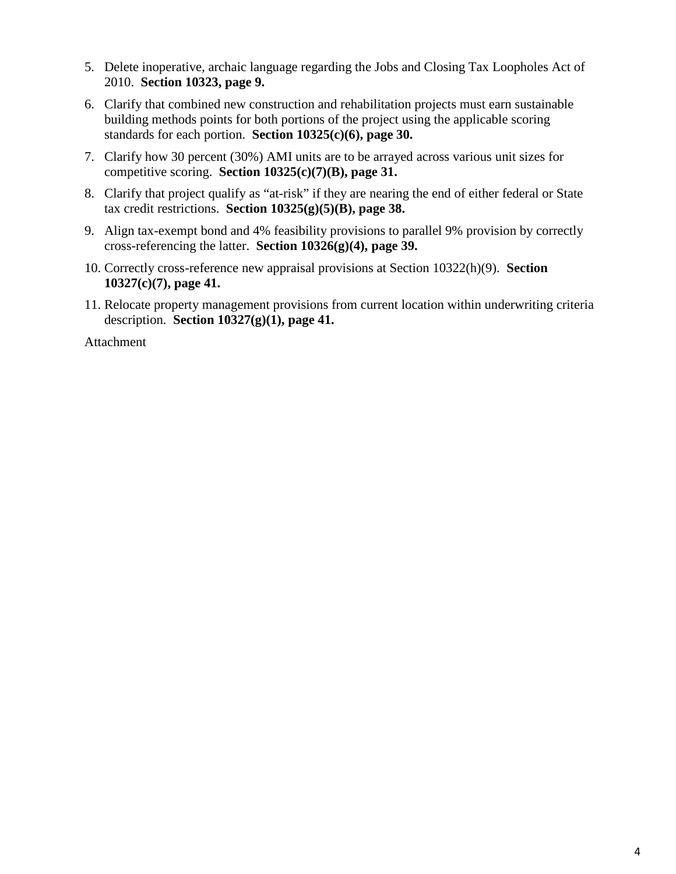- 5. Delete inoperative, archaic language regarding the Jobs and Closing Tax Loopholes Act of 2010. **Section 10323, page 9.**
- 6. Clarify that combined new construction and rehabilitation projects must earn sustainable building methods points for both portions of the project using the applicable scoring standards for each portion. **Section 10325(c)(6), page 30.**
- competitive scoring. **Section 10325(c)(7)(B), page 31.**  7. Clarify how 30 percent (30%) AMI units are to be arrayed across various unit sizes for
- 8. Clarify that project qualify as "at-risk" if they are nearing the end of either federal or State tax credit restrictions. **Section 10325(g)(5)(B), page 38.**
- cross-referencing the latter. **Section 10326(g)(4), page 39.**  9. Align tax-exempt bond and 4% feasibility provisions to parallel 9% provision by correctly
- 10. Correctly cross-reference new appraisal provisions at Section 10322(h)(9). **Section 10327(c)(7), page 41.**
- 11. Relocate property management provisions from current location within underwriting criteria description. **Section 10327(g)(1), page 41.**

Attachment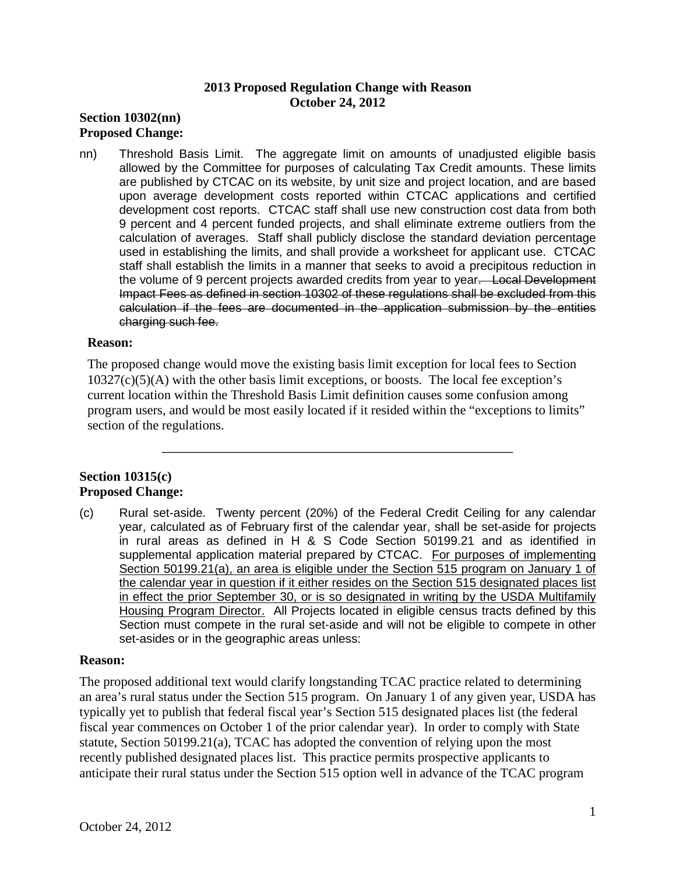### **2013 Proposed Regulation Change with Reason October 24, 2012**

# **Section 10302(nn) Proposed Change:**

 allowed by the Committee for purposes of calculating Tax Credit amounts. These limits are published by CTCAC on its website, by unit size and project location, and are based 9 percent and 4 percent funded projects, and shall eliminate extreme outliers from the the volume of 9 percent projects awarded credits from year to year. Local Development Impact Fees as defined in section 10302 of these regulations shall be excluded from this nn) Threshold Basis Limit. The aggregate limit on amounts of unadjusted eligible basis upon average development costs reported within CTCAC applications and certified development cost reports. CTCAC staff shall use new construction cost data from both calculation of averages. Staff shall publicly disclose the standard deviation percentage used in establishing the limits, and shall provide a worksheet for applicant use. CTCAC staff shall establish the limits in a manner that seeks to avoid a precipitous reduction in calculation if the fees are documented in the application submission by the entities charging such fee.

### **Reason:**

 current location within the Threshold Basis Limit definition causes some confusion among The proposed change would move the existing basis limit exception for local fees to Section  $10327(c)(5)(A)$  with the other basis limit exceptions, or boosts. The local fee exception's program users, and would be most easily located if it resided within the "exceptions to limits" section of the regulations.

\_\_\_\_\_\_\_\_\_\_\_\_\_\_\_\_\_\_\_\_\_\_\_\_\_\_\_\_\_\_\_\_\_\_\_\_\_\_\_\_\_\_\_\_\_\_\_\_\_\_\_\_

# **Section 10315(c) Proposed Change:**

 (c) Rural set-aside. Twenty percent (20%) of the Federal Credit Ceiling for any calendar year, calculated as of February first of the calendar year, shall be set-aside for projects in rural areas as defined in H & S Code Section 50199.21 and as identified in supplemental application material prepared by CTCAC. For purposes of implementing in effect the prior September 30, or is so designated in writing by the USDA Multifamily Housing Program Director. All Projects located in eligible census tracts defined by this Section 50199.21(a), an area is eligible under the Section 515 program on January 1 of the calendar year in question if it either resides on the Section 515 designated places list Section must compete in the rural set-aside and will not be eligible to compete in other set-asides or in the geographic areas unless:

#### **Reason:**

 an area's rural status under the Section 515 program. On January 1 of any given year, USDA has fiscal year commences on October 1 of the prior calendar year). In order to comply with State The proposed additional text would clarify longstanding TCAC practice related to determining typically yet to publish that federal fiscal year's Section 515 designated places list (the federal statute, Section 50199.21(a), TCAC has adopted the convention of relying upon the most recently published designated places list. This practice permits prospective applicants to anticipate their rural status under the Section 515 option well in advance of the TCAC program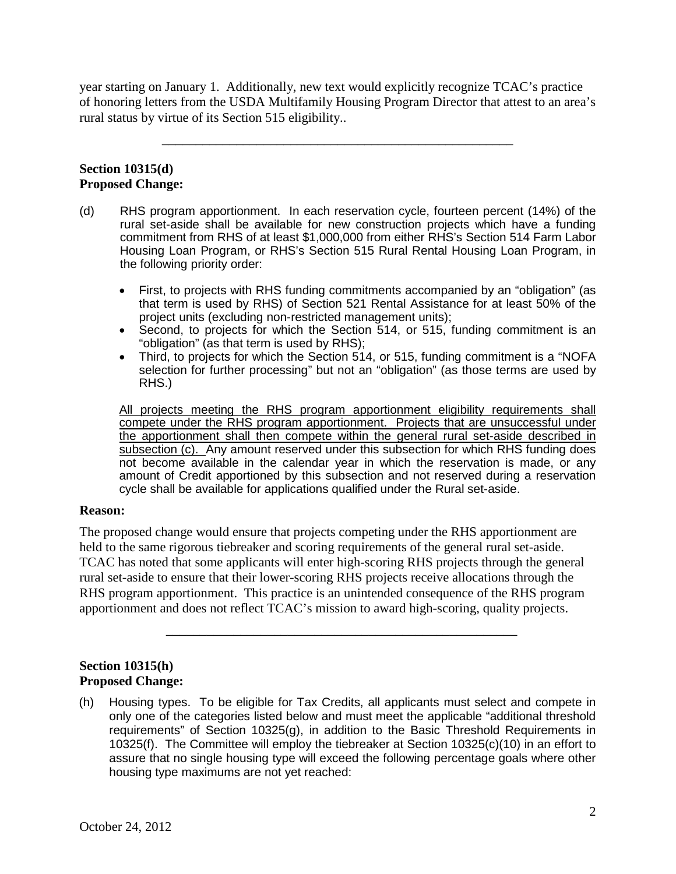year starting on January 1. Additionally, new text would explicitly recognize TCAC's practice of honoring letters from the USDA Multifamily Housing Program Director that attest to an area's rural status by virtue of its Section 515 eligibility..

\_\_\_\_\_\_\_\_\_\_\_\_\_\_\_\_\_\_\_\_\_\_\_\_\_\_\_\_\_\_\_\_\_\_\_\_\_\_\_\_\_\_\_\_\_\_\_\_\_\_\_\_

# **Section 10315(d) Proposed Change:**

- (d) RHS program apportionment. In each reservation cycle, fourteen percent (14%) of the rural set-aside shall be available for new construction projects which have a funding commitment from RHS of at least \$1,000,000 from either RHS's Section 514 Farm Labor Housing Loan Program, or RHS's Section 515 Rural Rental Housing Loan Program, in the following priority order:
	- that term is used by RHS) of Section 521 Rental Assistance for at least 50% of the • First, to projects with RHS funding commitments accompanied by an "obligation" (as project units (excluding non-restricted management units);
	- "obligation" (as that term is used by RHS); • Second, to projects for which the Section 514, or 515, funding commitment is an
	- Third, to projects for which the Section 514, or 515, funding commitment is a "NOFA selection for further processing" but not an "obligation" (as those terms are used by RHS.)

 All projects meeting the RHS program apportionment eligibility requirements shall the apportionment shall then compete within the general rural set-aside described in subsection (c). Any amount reserved under this subsection for which RHS funding does amount of Credit apportioned by this subsection and not reserved during a reservation cycle shall be available for applications qualified under the Rural set-aside. compete under the RHS program apportionment. Projects that are unsuccessful under not become available in the calendar year in which the reservation is made, or any

### **Reason:**

held to the same rigorous tiebreaker and scoring requirements of the general rural set-aside. held to the same rigorous tiebreaker and scoring requirements of the general rural set-aside. TCAC has noted that some applicants will enter high-scoring RHS projects through the general The proposed change would ensure that projects competing under the RHS apportionment are rural set-aside to ensure that their lower-scoring RHS projects receive allocations through the RHS program apportionment. This practice is an unintended consequence of the RHS program apportionment and does not reflect TCAC's mission to award high-scoring, quality projects.

\_\_\_\_\_\_\_\_\_\_\_\_\_\_\_\_\_\_\_\_\_\_\_\_\_\_\_\_\_\_\_\_\_\_\_\_\_\_\_\_\_\_\_\_\_\_\_\_\_\_\_\_

### **Section 10315(h) Proposed Change:**

(h) Housing types. To be eligible for Tax Credits, all applicants must select and compete in only one of the categories listed below and must meet the applicable "additional threshold requirements" of Section 10325(g), in addition to the Basic Threshold Requirements in 10325(f). The Committee will employ the tiebreaker at Section 10325(c)(10) in an effort to assure that no single housing type will exceed the following percentage goals where other housing type maximums are not yet reached: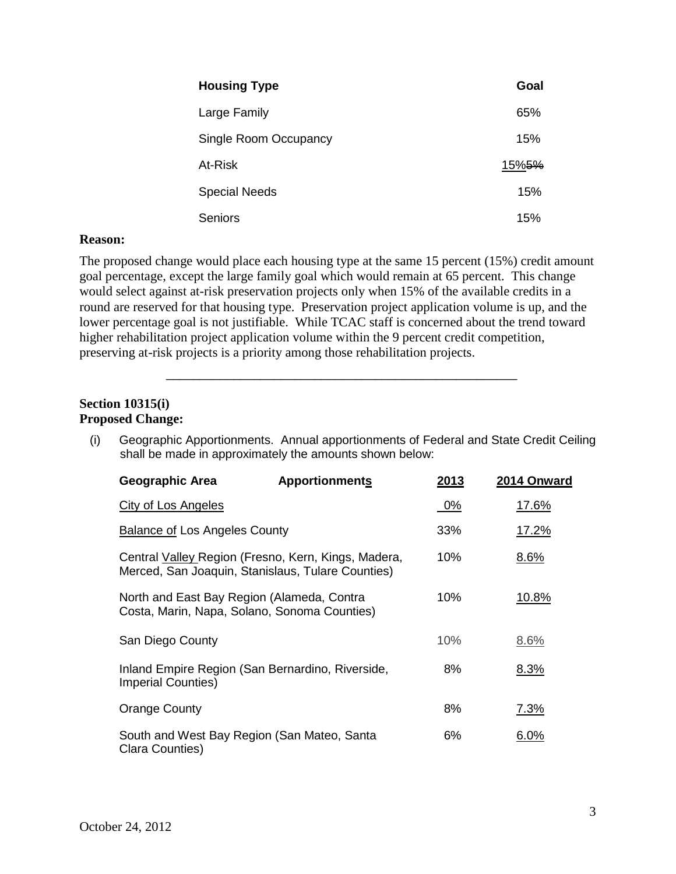| <b>Housing Type</b>   | Goal              |
|-----------------------|-------------------|
| Large Family          | 65%               |
| Single Room Occupancy | 15%               |
| At-Risk               | 15% <del>5%</del> |
| <b>Special Needs</b>  | 15%               |
| Seniors               | 15%               |

#### **Reason:**

 lower percentage goal is not justifiable. While TCAC staff is concerned about the trend toward The proposed change would place each housing type at the same 15 percent (15%) credit amount goal percentage, except the large family goal which would remain at 65 percent. This change would select against at-risk preservation projects only when 15% of the available credits in a round are reserved for that housing type. Preservation project application volume is up, and the higher rehabilitation project application volume within the 9 percent credit competition, preserving at-risk projects is a priority among those rehabilitation projects.

### **Section 10315(i) Proposed Change:**

(i) Geographic Apportionments. Annual apportionments of Federal and State Credit Ceiling shall be made in approximately the amounts shown below:

\_\_\_\_\_\_\_\_\_\_\_\_\_\_\_\_\_\_\_\_\_\_\_\_\_\_\_\_\_\_\_\_\_\_\_\_\_\_\_\_\_\_\_\_\_\_\_\_\_\_\_\_

| <b>Geographic Area</b>                                                                     | <b>Apportionments</b>                               | 2013 | 2014 Onward  |
|--------------------------------------------------------------------------------------------|-----------------------------------------------------|------|--------------|
| <b>City of Los Angeles</b>                                                                 |                                                     | 0%   | <u>17.6%</u> |
| <b>Balance of Los Angeles County</b>                                                       |                                                     | 33%  | 17.2%        |
| Merced, San Joaquin, Stanislaus, Tulare Counties)                                          | Central Valley Region (Fresno, Kern, Kings, Madera, | 10%  | 8.6%         |
| North and East Bay Region (Alameda, Contra<br>Costa, Marin, Napa, Solano, Sonoma Counties) |                                                     | 10%  | 10.8%        |
| San Diego County                                                                           |                                                     | 10%  | 8.6%         |
| Inland Empire Region (San Bernardino, Riverside,<br><b>Imperial Counties)</b>              |                                                     | 8%   | 8.3%         |
| <b>Orange County</b>                                                                       |                                                     | 8%   | 7.3%         |
| South and West Bay Region (San Mateo, Santa<br>Clara Counties)                             |                                                     | 6%   | 6.0%         |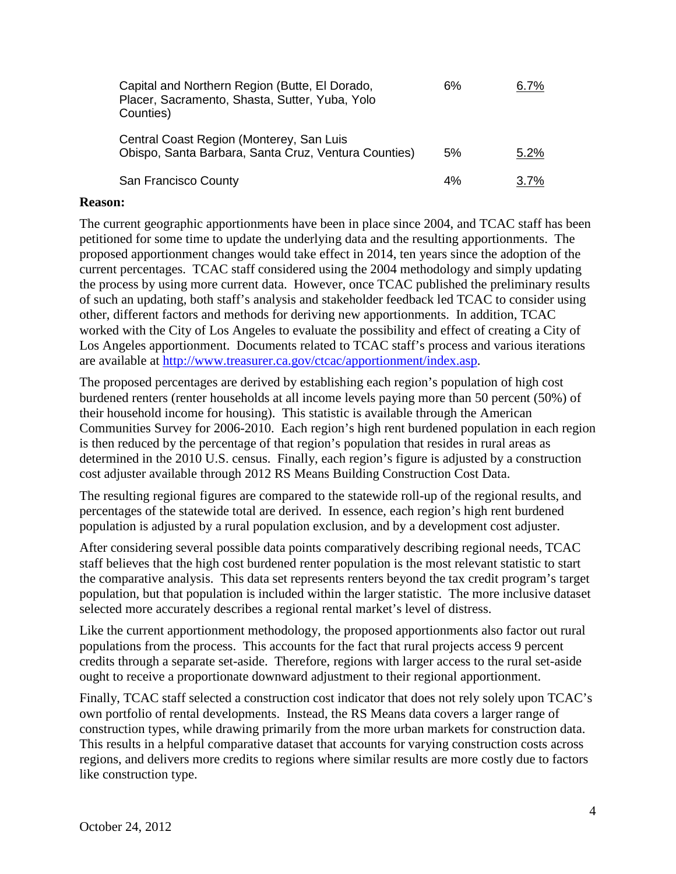| Capital and Northern Region (Butte, El Dorado,<br>Placer, Sacramento, Shasta, Sutter, Yuba, Yolo<br>Counties) | 6% | 6.7%    |
|---------------------------------------------------------------------------------------------------------------|----|---------|
| Central Coast Region (Monterey, San Luis<br>Obispo, Santa Barbara, Santa Cruz, Ventura Counties)              | 5% | 5.2%    |
| San Francisco County                                                                                          | 4% | $3.7\%$ |

#### **Reason:**

 worked with the City of Los Angeles to evaluate the possibility and effect of creating a City of The current geographic apportionments have been in place since 2004, and TCAC staff has been petitioned for some time to update the underlying data and the resulting apportionments. The proposed apportionment changes would take effect in 2014, ten years since the adoption of the current percentages. TCAC staff considered using the 2004 methodology and simply updating the process by using more current data. However, once TCAC published the preliminary results of such an updating, both staff's analysis and stakeholder feedback led TCAC to consider using other, different factors and methods for deriving new apportionments. In addition, TCAC Los Angeles apportionment. Documents related to TCAC staff's process and various iterations are available at [http://www.treasurer.ca.gov/ctcac/apportionment/index.asp.](http://www.treasurer.ca.gov/ctcac/apportionment/index.asp)

 burdened renters (renter households at all income levels paying more than 50 percent (50%) of is then reduced by the percentage of that region's population that resides in rural areas as The proposed percentages are derived by establishing each region's population of high cost their household income for housing). This statistic is available through the American Communities Survey for 2006-2010. Each region's high rent burdened population in each region determined in the 2010 U.S. census. Finally, each region's figure is adjusted by a construction cost adjuster available through 2012 RS Means Building Construction Cost Data.

The resulting regional figures are compared to the statewide roll-up of the regional results, and percentages of the statewide total are derived. In essence, each region's high rent burdened population is adjusted by a rural population exclusion, and by a development cost adjuster.

After considering several possible data points comparatively describing regional needs, TCAC staff believes that the high cost burdened renter population is the most relevant statistic to start the comparative analysis. This data set represents renters beyond the tax credit program's target population, but that population is included within the larger statistic. The more inclusive dataset selected more accurately describes a regional rental market's level of distress.

Like the current apportionment methodology, the proposed apportionments also factor out rural populations from the process. This accounts for the fact that rural projects access 9 percent credits through a separate set-aside. Therefore, regions with larger access to the rural set-aside ought to receive a proportionate downward adjustment to their regional apportionment.

 own portfolio of rental developments. Instead, the RS Means data covers a larger range of Finally, TCAC staff selected a construction cost indicator that does not rely solely upon TCAC's construction types, while drawing primarily from the more urban markets for construction data. This results in a helpful comparative dataset that accounts for varying construction costs across regions, and delivers more credits to regions where similar results are more costly due to factors like construction type.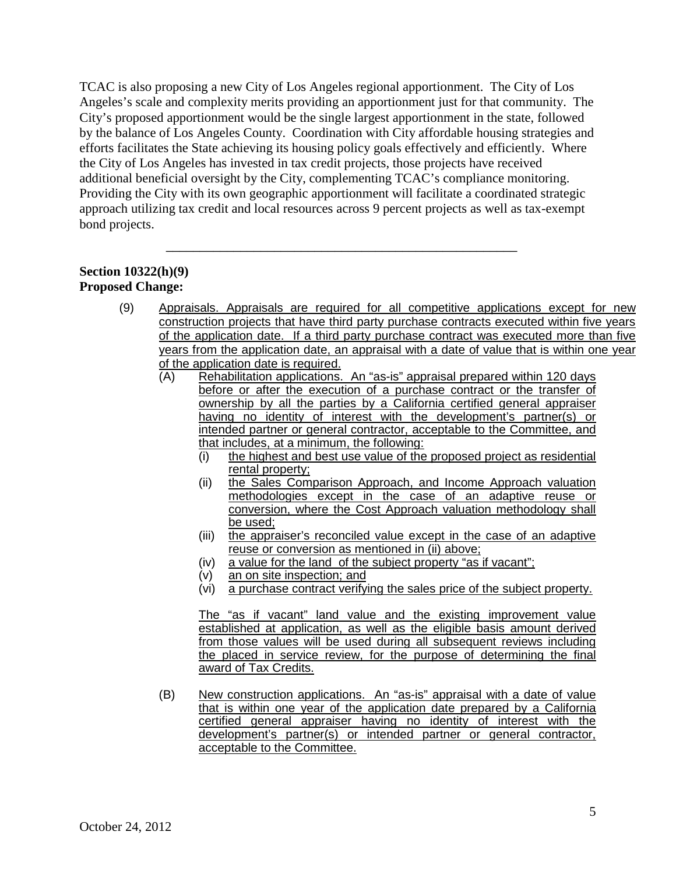TCAC is also proposing a new City of Los Angeles regional apportionment. The City of Los efforts facilitates the State achieving its housing policy goals effectively and efficiently. Where additional beneficial oversight by the City, complementing TCAC's compliance monitoring. Angeles's scale and complexity merits providing an apportionment just for that community. The City's proposed apportionment would be the single largest apportionment in the state, followed by the balance of Los Angeles County. Coordination with City affordable housing strategies and the City of Los Angeles has invested in tax credit projects, those projects have received Providing the City with its own geographic apportionment will facilitate a coordinated strategic approach utilizing tax credit and local resources across 9 percent projects as well as tax-exempt bond projects.

\_\_\_\_\_\_\_\_\_\_\_\_\_\_\_\_\_\_\_\_\_\_\_\_\_\_\_\_\_\_\_\_\_\_\_\_\_\_\_\_\_\_\_\_\_\_\_\_\_\_\_\_

# **Section 10322(h)(9) Proposed Change:**

- (9) Appraisals. Appraisals are required for all competitive applications except for new of the application date is required. construction projects that have third party purchase contracts executed within five years of the application date. If a third party purchase contract was executed more than five years from the application date, an appraisal with a date of value that is within one year
	- (A) Rehabilitation applications. An "as-is" appraisal prepared within 120 days before or after the execution of a purchase contract or the transfer of ownership by all the parties by a California certified general appraiser having no identity of interest with the development's partner(s) or intended partner or general contractor, acceptable to the Committee, and that includes, at a minimum, the following:
		- (i) the highest and best use value of the proposed project as residential rental property;
		- (ii) the Sales Comparison Approach, and Income Approach valuation methodologies except in the case of an adaptive reuse or conversion, where the Cost Approach valuation methodology shall be used;
		- (iii) the appraiser's reconciled value except in the case of an adaptive reuse or conversion as mentioned in (ii) above;
		- (iv) a value for the land of the subject property "as if vacant":
		- $(v)$  an on site inspection; and
		- $(vi)$ a purchase contract verifying the sales price of the subject property.

 the placed in service review, for the purpose of determining the final The "as if vacant" land value and the existing improvement value established at application, as well as the eligible basis amount derived from those values will be used during all subsequent reviews including award of Tax Credits.

(B) New construction applications. An "as-is" appraisal with a date of value certified general appraiser having no identity of interest with the that is within one year of the application date prepared by a California development's partner(s) or intended partner or general contractor, acceptable to the Committee.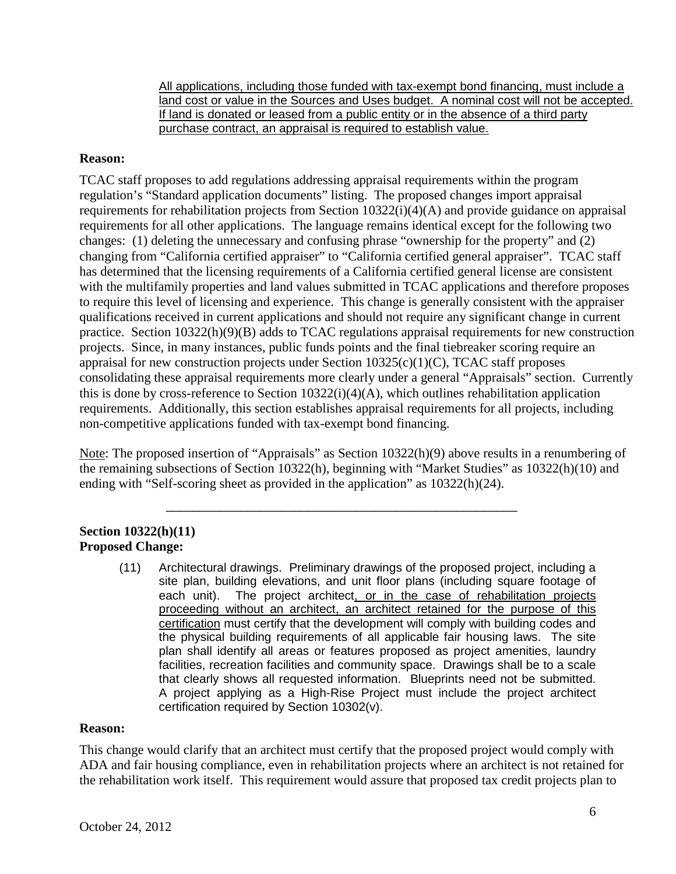land cost or value in the Sources and Uses budget. A nominal cost will not be accepted. All applications, including those funded with tax-exempt bond financing, must include a If land is donated or leased from a public entity or in the absence of a third party purchase contract, an appraisal is required to establish value.

### **Reason:**

 changes: (1) deleting the unnecessary and confusing phrase "ownership for the property" and (2) to require this level of licensing and experience. This change is generally consistent with the appraiser TCAC staff proposes to add regulations addressing appraisal requirements within the program regulation's "Standard application documents" listing. The proposed changes import appraisal requirements for rehabilitation projects from Section 10322(i)(4)(A) and provide guidance on appraisal requirements for all other applications. The language remains identical except for the following two changing from "California certified appraiser" to "California certified general appraiser". TCAC staff has determined that the licensing requirements of a California certified general license are consistent with the multifamily properties and land values submitted in TCAC applications and therefore proposes qualifications received in current applications and should not require any significant change in current practice. Section 10322(h)(9)(B) adds to TCAC regulations appraisal requirements for new construction projects. Since, in many instances, public funds points and the final tiebreaker scoring require an appraisal for new construction projects under Section 10325(c)(1)(C), TCAC staff proposes consolidating these appraisal requirements more clearly under a general "Appraisals" section. Currently this is done by cross-reference to Section 10322(i)(4)(A), which outlines rehabilitation application requirements. Additionally, this section establishes appraisal requirements for all projects, including non-competitive applications funded with tax-exempt bond financing.

Note: The proposed insertion of "Appraisals" as Section 10322(h)(9) above results in a renumbering of the remaining subsections of Section 10322(h), beginning with "Market Studies" as 10322(h)(10) and ending with "Self-scoring sheet as provided in the application" as 10322(h)(24).

\_\_\_\_\_\_\_\_\_\_\_\_\_\_\_\_\_\_\_\_\_\_\_\_\_\_\_\_\_\_\_\_\_\_\_\_\_\_\_\_\_\_\_\_\_\_\_\_\_\_\_\_

### **Section 10322(h)(11) Proposed Change:**

(11) Architectural drawings. Preliminary drawings of the proposed project, including a each unit). proceeding without an architect, an architect retained for the purpose of this certification must certify that the development will comply with building codes and the physical building requirements of all applicable fair housing laws. The site facilities, recreation facilities and community space. Drawings shall be to a scale that clearly shows all requested information. Blueprints need not be submitted. A project applying as a High-Rise Project must include the project architect site plan, building elevations, and unit floor plans (including square footage of The project architect, or in the case of rehabilitation projects plan shall identify all areas or features proposed as project amenities, laundry certification required by Section 10302(v).

### **Reason:**

 the rehabilitation work itself. This requirement would assure that proposed tax credit projects plan to This change would clarify that an architect must certify that the proposed project would comply with ADA and fair housing compliance, even in rehabilitation projects where an architect is not retained for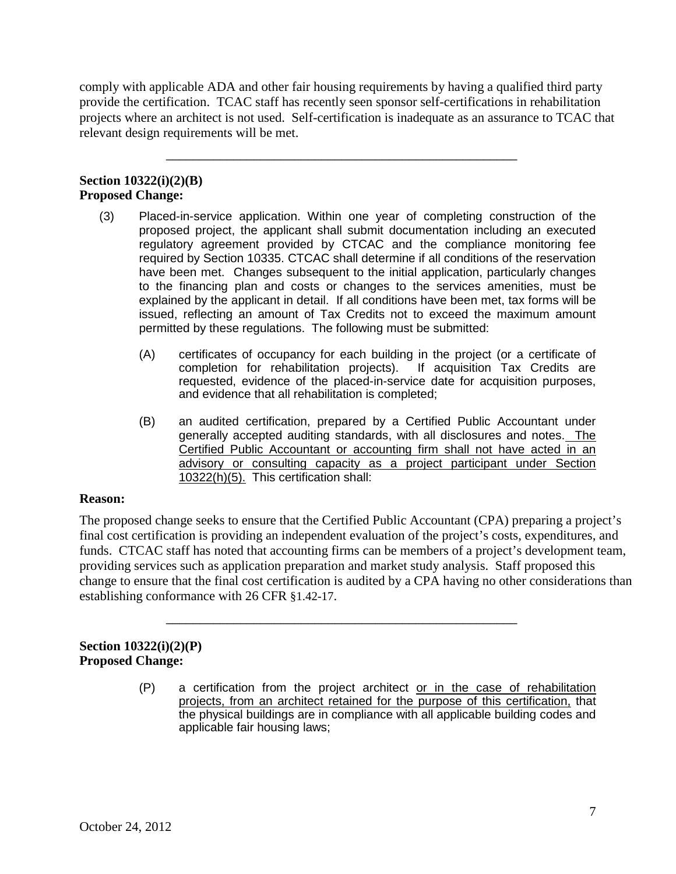comply with applicable ADA and other fair housing requirements by having a qualified third party provide the certification. TCAC staff has recently seen sponsor self-certifications in rehabilitation projects where an architect is not used. Self-certification is inadequate as an assurance to TCAC that relevant design requirements will be met.

\_\_\_\_\_\_\_\_\_\_\_\_\_\_\_\_\_\_\_\_\_\_\_\_\_\_\_\_\_\_\_\_\_\_\_\_\_\_\_\_\_\_\_\_\_\_\_\_\_\_\_\_

### **Section 10322(i)(2)(B) Proposed Change:**

- (3) Placed-in-service application. Within one year of completing construction of the proposed project, the applicant shall submit documentation including an executed regulatory agreement provided by CTCAC and the compliance monitoring fee to the financing plan and costs or changes to the services amenities, must be explained by the applicant in detail. If all conditions have been met, tax forms will be permitted by these regulations. The following must be submitted: required by Section 10335. CTCAC shall determine if all conditions of the reservation have been met. Changes subsequent to the initial application, particularly changes issued, reflecting an amount of Tax Credits not to exceed the maximum amount
	- (A) certificates of occupancy for each building in the project (or a certificate of completion for rehabilitation projects). If acquisition Tax Credits are requested, evidence of the placed-in-service date for acquisition purposes, and evidence that all rehabilitation is completed;
	- (B) an audited certification, prepared by a Certified Public Accountant under generally accepted auditing standards, with all disclosures and notes. The advisory or consulting capacity as a project participant under Section 10322(h)(5). This certification shall: Certified Public Accountant or accounting firm shall not have acted in an

### **Reason:**

 establishing conformance with 26 CFR §1.42-17. The proposed change seeks to ensure that the Certified Public Accountant (CPA) preparing a project's final cost certification is providing an independent evaluation of the project's costs, expenditures, and funds. CTCAC staff has noted that accounting firms can be members of a project's development team, providing services such as application preparation and market study analysis. Staff proposed this change to ensure that the final cost certification is audited by a CPA having no other considerations than

\_\_\_\_\_\_\_\_\_\_\_\_\_\_\_\_\_\_\_\_\_\_\_\_\_\_\_\_\_\_\_\_\_\_\_\_\_\_\_\_\_\_\_\_\_\_\_\_\_\_\_\_

### **Section 10322(i)(2)(P) Proposed Change:**

(P) a certification from the project architect or in the case of rehabilitation projects, from an architect retained for the purpose of this certification, that the physical buildings are in compliance with all applicable building codes and applicable fair housing laws;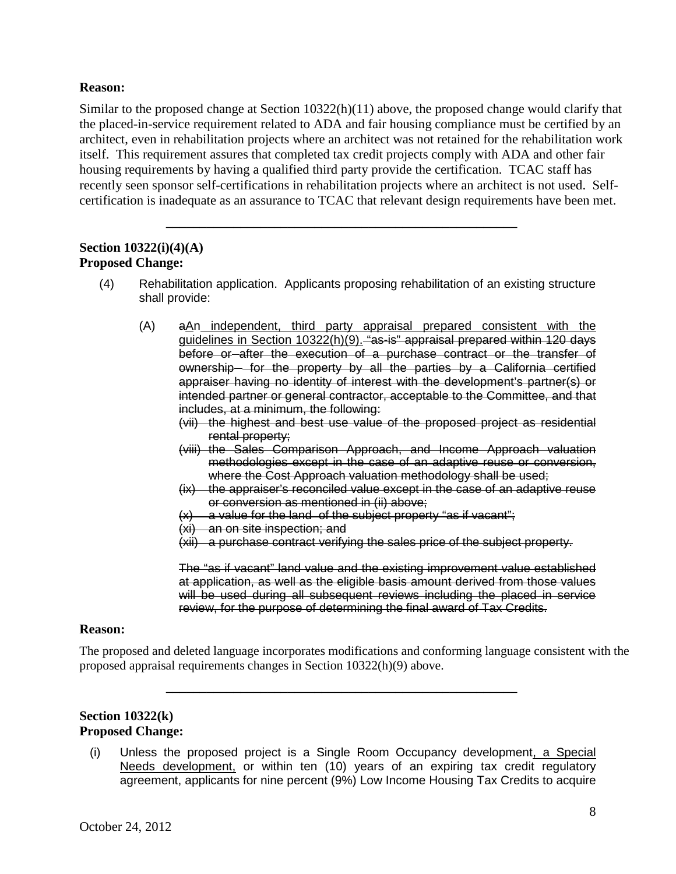### **Reason:**

 the placed-in-service requirement related to ADA and fair housing compliance must be certified by an itself. This requirement assures that completed tax credit projects comply with ADA and other fair housing requirements by having a qualified third party provide the certification. TCAC staff has Similar to the proposed change at Section 10322(h)(11) above, the proposed change would clarify that architect, even in rehabilitation projects where an architect was not retained for the rehabilitation work recently seen sponsor self-certifications in rehabilitation projects where an architect is not used. Selfcertification is inadequate as an assurance to TCAC that relevant design requirements have been met.

## **Section 10322(i)(4)(A) Proposed Change:**

(4) Rehabilitation application. Applicants proposing rehabilitation of an existing structure shall provide:

\_\_\_\_\_\_\_\_\_\_\_\_\_\_\_\_\_\_\_\_\_\_\_\_\_\_\_\_\_\_\_\_\_\_\_\_\_\_\_\_\_\_\_\_\_\_\_\_\_\_\_\_

- $(A)$  ownership for the property by all the parties by a California certified intended partner or general contractor, acceptable to the Committee, and that aAn independent, third party appraisal prepared consistent with the guidelines in Section 10322(h)(9). "as-is" appraisal prepared within 120 days before or after the execution of a purchase contract or the transfer of appraiser having no identity of interest with the development's partner(s) or includes, at a minimum, the following:
	- (vii) the highest and best use value of the proposed project as residential rental property;
	- methodologies except in the case of an adaptive reuse or conversion, (viii) the Sales Comparison Approach, and Income Approach valuation where the Cost Approach valuation methodology shall be used;
	- $(ix)$  the appraiser's reconciled value except in the case of an adaptive reuse or conversion as mentioned in (ii) above;
	- $(x)$  a value for the land of the subject property "as if vacant";
	- (xi) an on site inspection; and
	- (xii) a purchase contract verifying the sales price of the subject property.

 will be used during all subsequent reviews including the placed in service The "as if vacant" land value and the existing improvement value established at application, as well as the eligible basis amount derived from those values review, for the purpose of determining the final award of Tax Credits.

#### **Reason:**

The proposed and deleted language incorporates modifications and conforming language consistent with the proposed appraisal requirements changes in Section 10322(h)(9) above.

### **Section 10322(k) Proposed Change:**

(i) Unless the proposed project is a Single Room Occupancy development, a Special Needs development, or within ten (10) years of an expiring tax credit regulatory agreement, applicants for nine percent (9%) Low Income Housing Tax Credits to acquire

\_\_\_\_\_\_\_\_\_\_\_\_\_\_\_\_\_\_\_\_\_\_\_\_\_\_\_\_\_\_\_\_\_\_\_\_\_\_\_\_\_\_\_\_\_\_\_\_\_\_\_\_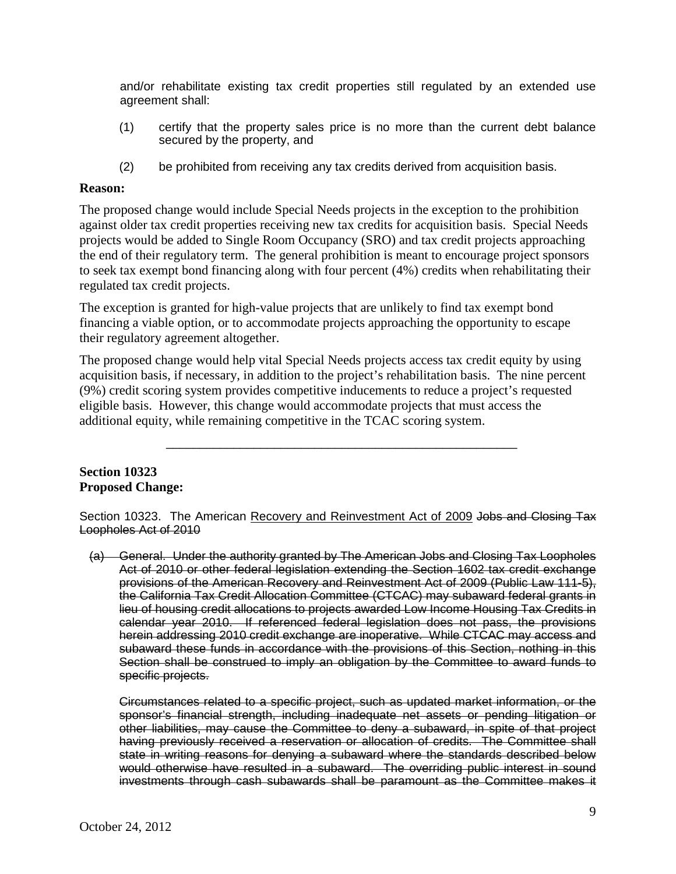and/or rehabilitate existing tax credit properties still regulated by an extended use agreement shall:

- (1) certify that the property sales price is no more than the current debt balance secured by the property, and
- (2) be prohibited from receiving any tax credits derived from acquisition basis.

### **Reason:**

 the end of their regulatory term. The general prohibition is meant to encourage project sponsors regulated tax credit projects. The proposed change would include Special Needs projects in the exception to the prohibition against older tax credit properties receiving new tax credits for acquisition basis. Special Needs projects would be added to Single Room Occupancy (SRO) and tax credit projects approaching to seek tax exempt bond financing along with four percent (4%) credits when rehabilitating their

their regulatory agreement altogether. The exception is granted for high-value projects that are unlikely to find tax exempt bond financing a viable option, or to accommodate projects approaching the opportunity to escape

The proposed change would help vital Special Needs projects access tax credit equity by using acquisition basis, if necessary, in addition to the project's rehabilitation basis. The nine percent (9%) credit scoring system provides competitive inducements to reduce a project's requested eligible basis. However, this change would accommodate projects that must access the additional equity, while remaining competitive in the TCAC scoring system.

\_\_\_\_\_\_\_\_\_\_\_\_\_\_\_\_\_\_\_\_\_\_\_\_\_\_\_\_\_\_\_\_\_\_\_\_\_\_\_\_\_\_\_\_\_\_\_\_\_\_\_\_

### **Section 10323 Proposed Change:**

Section 10323. The American Recovery and Reinvestment Act of 2009 Jobs and Closing Tax Loopholes Act of 2010

 the California Tax Credit Allocation Committee (CTCAC) may subaward federal grants in herein addressing 2010 credit exchange are inoperative. While CTCAC may access and subaward these funds in accordance with the provisions of this Section, nothing in this (a) General. Under the authority granted by The American Jobs and Closing Tax Loopholes Act of 2010 or other federal legislation extending the Section 1602 tax credit exchange provisions of the American Recovery and Reinvestment Act of 2009 (Public Law 111-5), lieu of housing credit allocations to projects awarded Low Income Housing Tax Credits in calendar year 2010. If referenced federal legislation does not pass, the provisions Section shall be construed to imply an obligation by the Committee to award funds to specific projects.

 Circumstances related to a specific project, such as updated market information, or the having previously received a reservation or allocation of credits. The Committee shall would otherwise have resulted in a subaward. The overriding public interest in sound sponsor's financial strength, including inadequate net assets or pending litigation or other liabilities, may cause the Committee to deny a subaward, in spite of that project state in writing reasons for denying a subaward where the standards described below investments through cash subawards shall be paramount as the Committee makes it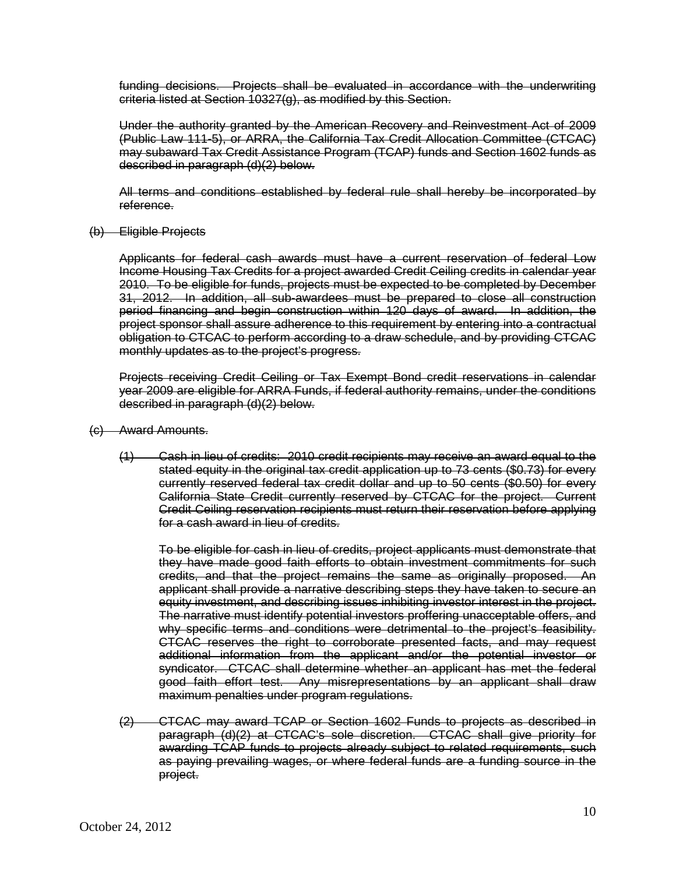criteria listed at Section 10327(g), as modified by this Section. funding decisions. Projects shall be evaluated in accordance with the underwriting

criteria listed at Section 10327(g), as modified by this Section.<br>Under the authority granted by the American Recovery and Reinvestment Act of 2009 may subaward Tax Credit Assistance Program (TCAP) funds and Section 1602 funds as (Public Law 111-5), or ARRA, the California Tax Credit Allocation Committee (CTCAC) described in paragraph (d)(2) below.

All terms and conditions established by federal rule shall hereby be incorporated by reference.

(b) Eligible Projects

 Applicants for federal cash awards must have a current reservation of federal Low 2010. To be eligible for funds, projects must be expected to be completed by December project sponsor shall assure adherence to this requirement by entering into a contractual obligation to CTCAC to perform according to a draw schedule, and by providing CTCAC monthly updates as to the project's progress. Income Housing Tax Credits for a project awarded Credit Ceiling credits in calendar year 31, 2012. In addition, all sub-awardees must be prepared to close all construction period financing and begin construction within 120 days of award. In addition, the

monthly updates as to the project's progress.<br>Projects\_receiving\_Credit\_Ceiling\_or\_Tax\_Exempt\_Bond\_credit\_reservations\_in\_calendar year 2009 are eligible for ARRA Funds, if federal authority remains, under the conditions described in paragraph (d)(2) below.

- (c) Award Amounts.
	- (1) Cash in lieu of credits: 2010 credit recipients may receive an award equal to the stated equity in the original tax credit application up to 73 cents (\$0.73) for every currently reserved federal tax credit dollar and up to 50 cents (\$0.50) for every California State Credit currently reserved by CTCAC for the project. Current for a cash award in lieu of credits. Credit Ceiling reservation recipients must return their reservation before applying

for a cash award in lieu of credits.<br>To be eligible for cash in lieu of credits, project applicants must demonstrate that they have made good faith efforts to obtain investment commitments for such equity investment, and describing issues inhibiting investor interest in the project. The narrative must identify potential investors proffering unacceptable offers, and why specific terms and conditions were detrimental to the project's feasibility. good faith effort test. Any misrepresentations by an applicant shall draw credits, and that the project remains the same as originally proposed. An applicant shall provide a narrative describing steps they have taken to secure an CTCAC reserves the right to corroborate presented facts, and may request additional information from the applicant and/or the potential investor or syndicator. CTCAC shall determine whether an applicant has met the federal maximum penalties under program regulations.

(2) CTCAC may award TCAP or Section 1602 Funds to projects as described in paragraph (d)(2) at CTCAC's sole discretion. CTCAC shall give priority for awarding TCAP funds to projects already subject to related requirements, such as paying prevailing wages, or where federal funds are a funding source in the project.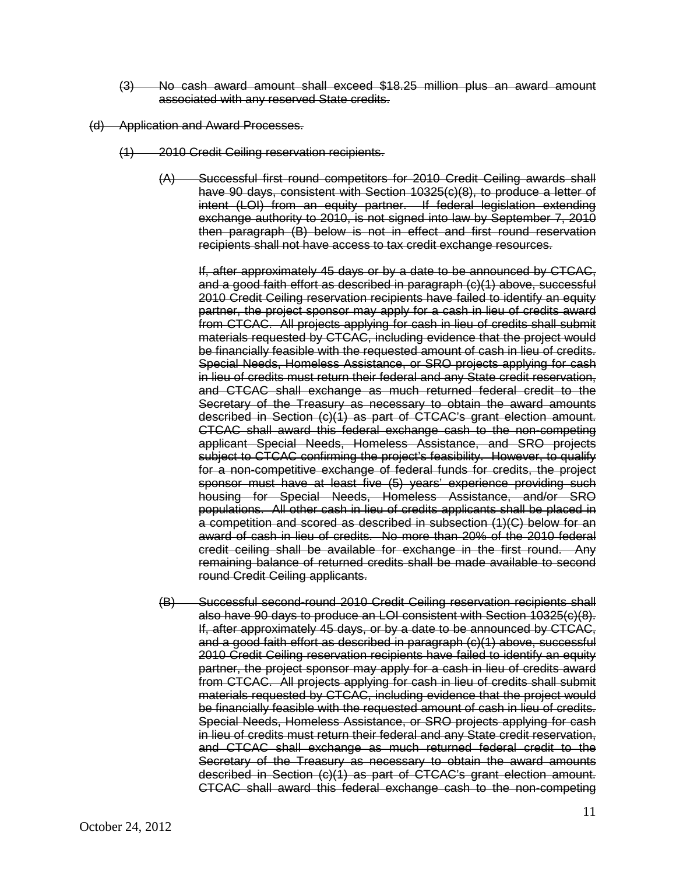- (3) No cash award amount shall exceed \$18.25 million plus an award amount associated with any reserved State credits.
- (d) Application and Award Processes.
	- (1) 2010 Credit Ceiling reservation recipients.
		- (A) Successful first round competitors for 2010 Credit Ceiling awards shall intent (LOI) from an equity partner. If federal legislation extending then paragraph (B) below is not in effect and first round reservation have 90 days, consistent with Section 10325(c)(8), to produce a letter of exchange authority to 2010, is not signed into law by September 7, 2010 recipients shall not have access to tax credit exchange resources.

 and a good faith effort as described in paragraph (c)(1) above, successful be financially feasible with the requested amount of cash in lieu of credits. Special Needs, Homeless Assistance, or SRO projects applying for cash in lieu of credits must return their federal and any State credit reservation, and CTCAC shall exchange as much returned federal credit to the described in Section (c)(1) as part of CTCAC's grant election amount. subject to CTCAC confirming the project's feasibility. However, to qualify award of cash in lieu of credits. No more than 20% of the 2010 federal credit ceiling shall be available for exchange in the first round. Any If, after approximately 45 days or by a date to be announced by CTCAC, 2010 Credit Ceiling reservation recipients have failed to identify an equity partner, the project sponsor may apply for a cash in lieu of credits award from CTCAC. All projects applying for cash in lieu of credits shall submit materials requested by CTCAC, including evidence that the project would Secretary of the Treasury as necessary to obtain the award amounts CTCAC shall award this federal exchange cash to the non-competing applicant Special Needs, Homeless Assistance, and SRO projects for a non-competitive exchange of federal funds for credits, the project sponsor must have at least five (5) years' experience providing such housing for Special Needs, Homeless Assistance, and/or SRO populations. All other cash in lieu of credits applicants shall be placed in a competition and scored as described in subsection (1)(C) below for an remaining balance of returned credits shall be made available to second round Credit Ceiling applicants.

 also have 90 days to produce an LOI consistent with Section 10325(c)(8). and a good faith effort as described in paragraph (c)(1) above, successful be financially feasible with the requested amount of cash in lieu of credits. in lieu of credits must return their federal and any State credit reservation, and CTCAC shall exchange as much returned federal credit to the described in Section (c)(1) as part of CTCAC's grant election amount.<br>CTCAC shall award this federal exchange cash to the non-competing (B) Successful second-round 2010 Credit Ceiling reservation recipients shall If, after approximately 45 days, or by a date to be announced by CTCAC, 2010 Credit Ceiling reservation recipients have failed to identify an equity partner, the project sponsor may apply for a cash in lieu of credits award from CTCAC. All projects applying for cash in lieu of credits shall submit materials requested by CTCAC, including evidence that the project would Special Needs, Homeless Assistance, or SRO projects applying for cash Secretary of the Treasury as necessary to obtain the award amounts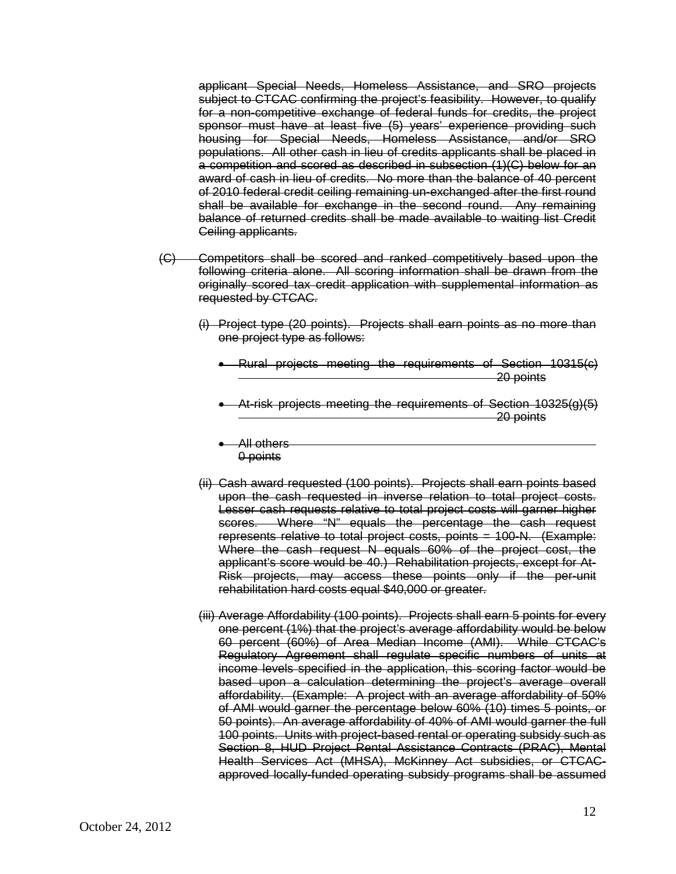subject to CTCAC confirming the project's feasibility. However, to qualify of 2010 federal credit ceiling remaining un-exchanged after the first round balance of returned credits shall be made available to waiting list Credit applicant Special Needs, Homeless Assistance, and SRO projects for a non-competitive exchange of federal funds for credits, the project sponsor must have at least five (5) years' experience providing such housing for Special Needs, Homeless Assistance, and/or SRO populations. All other cash in lieu of credits applicants shall be placed in a competition and scored as described in subsection (1)(C) below for an award of cash in lieu of credits. No more than the balance of 40 percent shall be available for exchange in the second round. Any remaining Ceiling applicants.

- originally scored tax credit application with supplemental information as (C) Competitors shall be scored and ranked competitively based upon the following criteria alone. All scoring information shall be drawn from the requested by CTCAC.
	- (i) Project type (20 points). Projects shall earn points as no more than one project type as follows:
		- 20 points • Rural projects meeting the requirements of Section 10315(c)
		- At-risk projects meeting the requirements of Section 10325(g)(5) 20 points

j

- All others  $\overline{a}$ 0 points
- upon the cash requested in inverse relation to total project costs. upon the cash requested in inverse relation to total project costs.<br>Lesser cash requests relative to total project costs will garner higher scores. Where "N" equals the percentage the cash request Where the cash request N equals 60% of the project cost, the (ii) Cash award requested (100 points). Projects shall earn points based represents relative to total project costs, points = 100-N. (Example: applicant's score would be 40.) Rehabilitation projects, except for At-Risk projects, may access these points only if the per-unit rehabilitation hard costs equal \$40,000 or greater.
- one percent (1%) that the project's average affordability would be below 60 percent (60%) of Area Median Income (AMI). While CTCAC's income levels specified in the application, this scoring factor would be 50 points). An average affordability of 40% of AMI would garner the full Section 8, HUD Project Rental Assistance Contracts (PRAC), Mental (iii) Average Affordability (100 points). Projects shall earn 5 points for every Regulatory Agreement shall regulate specific numbers of units at based upon a calculation determining the project's average overall affordability. (Example: A project with an average affordability of 50% of AMI would garner the percentage below 60% (10) times 5 points, or 100 points. Units with project-based rental or operating subsidy such as Health Services Act (MHSA), McKinney Act subsidies, or CTCACapproved locally-funded operating subsidy programs shall be assumed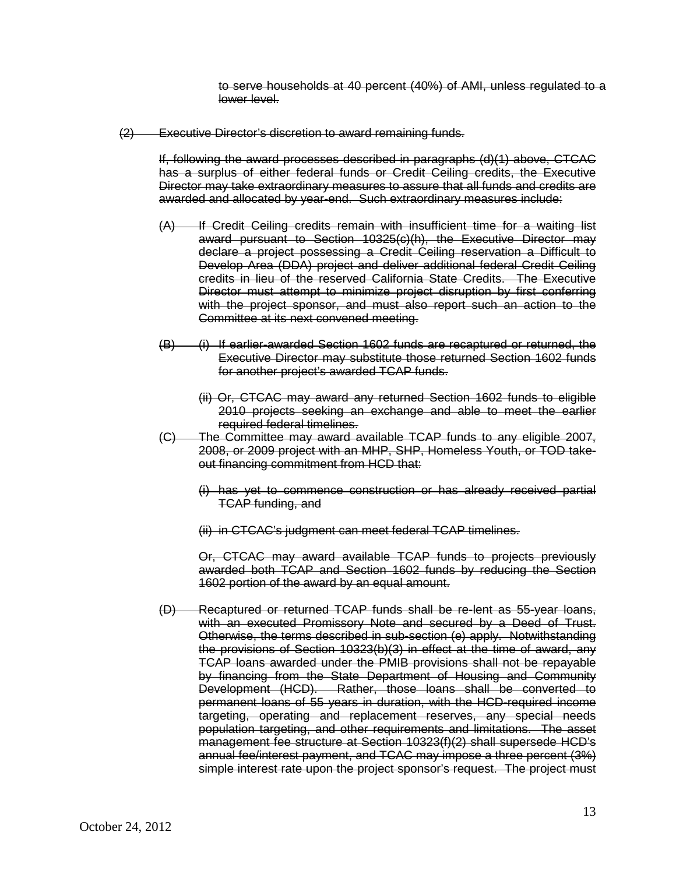to serve households at 40 percent (40%) of AMI, unless regulated to a lower level.

(2) Executive Director's discretion to award remaining funds.

 Director may take extraordinary measures to assure that all funds and credits are If, following the award processes described in paragraphs (d)(1) above, CTCAC has a surplus of either federal funds or Credit Ceiling credits, the Executive awarded and allocated by year-end. Such extraordinary measures include:

- (A) If Credit Ceiling credits remain with insufficient time for a waiting list award pursuant to Section 10325(c)(h), the Executive Director may declare a project possessing a Credit Ceiling reservation a Difficult to Develop Area (DDA) project and deliver additional federal Credit Ceiling credits in lieu of the reserved California State Credits. The Executive Director must attempt to minimize project disruption by first conferring with the project sponsor, and must also report such an action to the Committee at its next convened meeting.
- $(B)$  for another project's awarded TCAP funds. (i) If earlier-awarded Section 1602 funds are recaptured or returned, the Executive Director may substitute those returned Section 1602 funds
	- (ii) Or, CTCAC may award any returned Section 1602 funds to eligible 2010 projects seeking an exchange and able to meet the earlier required federal timelines.
- (C) The Committee may award available TCAP funds to any eligible 2007, 2008, or 2009 project with an MHP, SHP, Homeless Youth, or TOD takeout financing commitment from HCD that:
	- TCAP funding, and (i) has yet to commence construction or has already received partial
	- (ii) in CTCAC's judgment can meet federal TCAP timelines.

Or, CTCAC may award available TCAP funds to projects previously awarded both TCAP and Section 1602 funds by reducing the Section 1602 portion of the award by an equal amount.

 (D) Recaptured or returned TCAP funds shall be re-lent as 55-year loans, with an executed Promissory Note and secured by a Deed of Trust. the provisions of Section 10323(b)(3) in effect at the time of award, any by financing from the State Department of Housing and Community Development (HCD). Rather, those loans shall be converted to permanent loans of 55 years in duration, with the HCD-required income targeting, operating and replacement reserves, any special needs simple interest rate upon the project sponsor's request. The project must Otherwise, the terms described in sub-section (e) apply. Notwithstanding TCAP loans awarded under the PMIB provisions shall not be repayable population targeting, and other requirements and limitations. The asset management fee structure at Section 10323(f)(2) shall supersede HCD's annual fee/interest payment, and TCAC may impose a three percent (3%)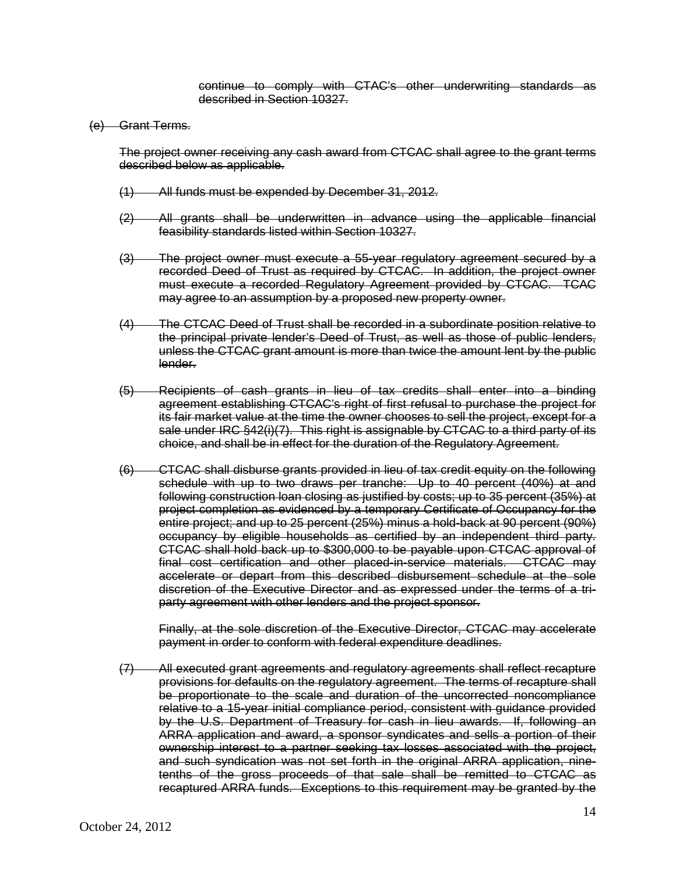continue to comply with CTAC's other underwriting standards as described in Section 10327.

(e) Grant Terms.

 The project owner receiving any cash award from CTCAC shall agree to the grant terms described below as applicable.

- (1) All funds must be expended by December 31, 2012.
- $(2)$  All grants shall be underwritten in advance using the applicable financial feasibility standards listed within Section 10327.
- recorded Deed of Trust as required by CTCAC. In addition, the project owner must execute a recorded Regulatory Agreement provided by CTCAC. TCAC  $(3)$  The project owner must execute a 55-year regulatory agreement secured by a may agree to an assumption by a proposed new property owner.
- lender. (4) The CTCAC Deed of Trust shall be recorded in a subordinate position relative to the principal private lender's Deed of Trust, as well as those of public lenders, unless the CTCAC grant amount is more than twice the amount lent by the public
- lender. (5) Recipients of cash grants in lieu of tax credits shall enter into a binding agreement establishing CTCAC's right of first refusal to purchase the project for its fair market value at the time the owner chooses to sell the project, except for a choice, and shall be in effect for the duration of the Regulatory Agreement. sale under IRC §42(i)(7). This right is assignable by CTCAC to a third party of its
- (6) CTCAC shall disburse grants provided in lieu of tax credit equity on the following occupancy by eligible households as certified by an independent third party.<br>CTCAC shall hold back up to \$300,000 to be payable upon CTCAC approval of schedule with up to two draws per tranche: Up to 40 percent (40%) at and following construction loan closing as justified by costs; up to 35 percent (35%) at project completion as evidenced by a temporary Certificate of Occupancy for the entire project; and up to 25 percent (25%) minus a hold-back at 90 percent (90%) final cost certification and other placed-in-service materials. CTCAC may accelerate or depart from this described disbursement schedule at the sole discretion of the Executive Director and as expressed under the terms of a triparty agreement with other lenders and the project sponsor.

 Finally, at the sole discretion of the Executive Director, CTCAC may accelerate payment in order to conform with federal expenditure deadlines.

 provisions for defaults on the regulatory agreement. The terms of recapture shall by the U.S. Department of Treasury for cash in lieu awards. If, following an ARRA application and award, a sponsor syndicates and sells a portion of their (7) All executed grant agreements and regulatory agreements shall reflect recapture be proportionate to the scale and duration of the uncorrected noncompliance relative to a 15-year initial compliance period, consistent with guidance provided ownership interest to a partner seeking tax losses associated with the project, and such syndication was not set forth in the original ARRA application, ninetenths of the gross proceeds of that sale shall be remitted to CTCAC as recaptured ARRA funds. Exceptions to this requirement may be granted by the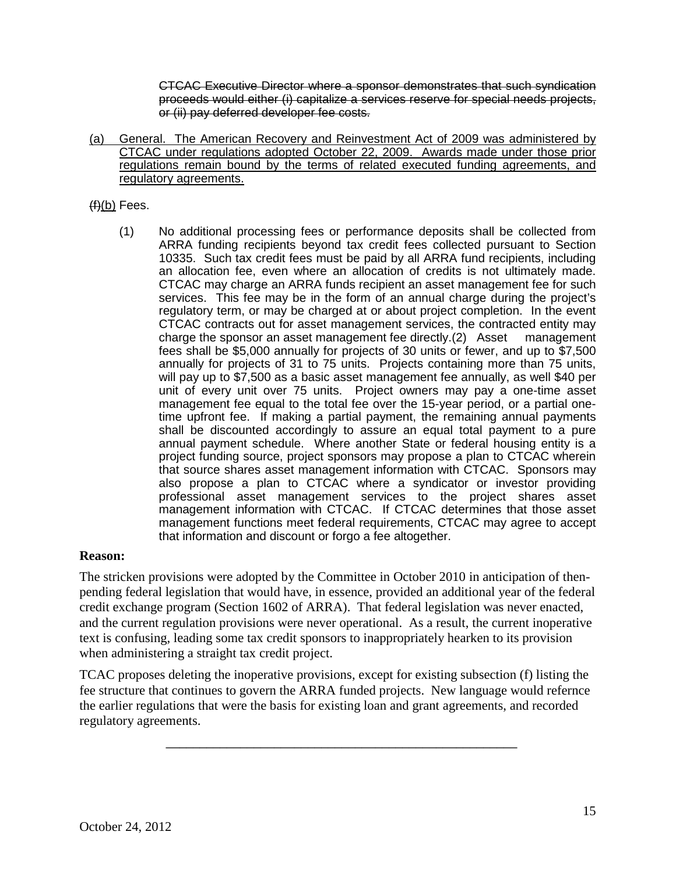proceeds would either (i) capitalize a services reserve for special needs projects, CTCAC Executive Director where a sponsor demonstrates that such syndication or (ii) pay deferred developer fee costs.

(a) General. The American Recovery and Reinvestment Act of 2009 was administered by CTCAC under regulations adopted October 22, 2009. Awards made under those prior regulations remain bound by the terms of related executed funding agreements, and regulatory agreements.

## (f<u>)(b)</u> Fees.

 ARRA funding recipients beyond tax credit fees collected pursuant to Section an allocation fee, even where an allocation of credits is not ultimately made. an allocation fee, even where an allocation of credits is not ultimately made.<br>CTCAC may charge an ARRA funds recipient an asset management fee for such services. This fee may be in the form of an annual charge during the project's annually for projects of 31 to 75 units. Projects containing more than 75 units, will pay up to \$7,500 as a basic asset management fee annually, as well \$40 per management fee equal to the total fee over the 15-year period, or a partial one- annual payment schedule. Where another State or federal housing entity is a project funding source, project sponsors may propose a plan to CTCAC wherein management functions meet federal requirements, CTCAC may agree to accept that information and discount or forgo a fee altogether. (1) No additional processing fees or performance deposits shall be collected from 10335. Such tax credit fees must be paid by all ARRA fund recipients, including regulatory term, or may be charged at or about project completion. In the event CTCAC contracts out for asset management services, the contracted entity may charge the sponsor an asset management fee directly.(2) Asset management fees shall be \$5,000 annually for projects of 30 units or fewer, and up to \$7,500 unit of every unit over 75 units. Project owners may pay a one-time asset time upfront fee. If making a partial payment, the remaining annual payments shall be discounted accordingly to assure an equal total payment to a pure that source shares asset management information with CTCAC. Sponsors may also propose a plan to CTCAC where a syndicator or investor providing professional asset management services to the project shares asset management information with CTCAC. If CTCAC determines that those asset

### **Reason:**

 The stricken provisions were adopted by the Committee in October 2010 in anticipation of thenpending federal legislation that would have, in essence, provided an additional year of the federal credit exchange program (Section 1602 of ARRA). That federal legislation was never enacted, and the current regulation provisions were never operational. As a result, the current inoperative text is confusing, leading some tax credit sponsors to inappropriately hearken to its provision when administering a straight tax credit project.

TCAC proposes deleting the inoperative provisions, except for existing subsection (f) listing the fee structure that continues to govern the ARRA funded projects. New language would refernce the earlier regulations that were the basis for existing loan and grant agreements, and recorded regulatory agreements.

\_\_\_\_\_\_\_\_\_\_\_\_\_\_\_\_\_\_\_\_\_\_\_\_\_\_\_\_\_\_\_\_\_\_\_\_\_\_\_\_\_\_\_\_\_\_\_\_\_\_\_\_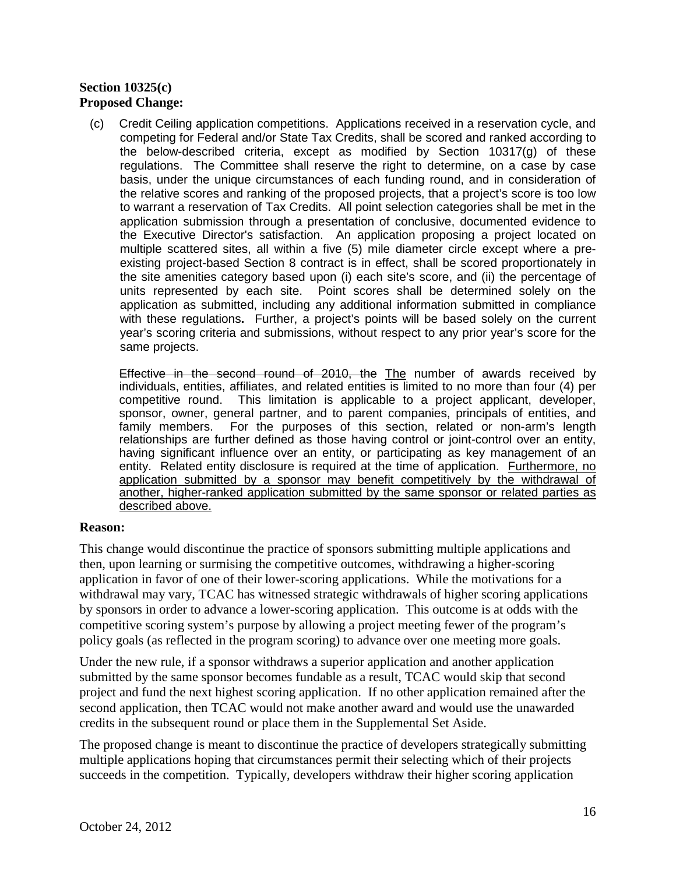## **Section 10325(c) Proposed Change:**

 (c) Credit Ceiling application competitions. Applications received in a reservation cycle, and the below-described criteria, except as modified by Section 10317(g) of these regulations. The Committee shall reserve the right to determine, on a case by case the relative scores and ranking of the proposed projects, that a project's score is too low to warrant a reservation of Tax Credits. All point selection categories shall be met in the multiple scattered sites, all within a five (5) mile diameter circle except where a pre- existing project-based Section 8 contract is in effect, shall be scored proportionately in the site amenities category based upon (i) each site's score, and (ii) the percentage of units represented by each site. Point scores shall be determined solely on the with these regulations**.** Further, a project's points will be based solely on the current same projects. competing for Federal and/or State Tax Credits, shall be scored and ranked according to basis, under the unique circumstances of each funding round, and in consideration of application submission through a presentation of conclusive, documented evidence to the Executive Director's satisfaction. An application proposing a project located on application as submitted, including any additional information submitted in compliance year's scoring criteria and submissions, without respect to any prior year's score for the

same projects.<br><del>Effective in the second round of 2010, the</del> The number of awards received by individuals, entities, affiliates, and related entities is limited to no more than four (4) per competitive round. sponsor, owner, general partner, and to parent companies, principals of entities, and having significant influence over an entity, or participating as key management of an entity. Related entity disclosure is required at the time of application. **Furthermore**, no This limitation is applicable to a project applicant, developer, family members. For the purposes of this section, related or non-arm's length relationships are further defined as those having control or joint-control over an entity, application submitted by a sponsor may benefit competitively by the withdrawal of another, higher-ranked application submitted by the same sponsor or related parties as described above.

### **Reason:**

 competitive scoring system's purpose by allowing a project meeting fewer of the program's This change would discontinue the practice of sponsors submitting multiple applications and then, upon learning or surmising the competitive outcomes, withdrawing a higher-scoring application in favor of one of their lower-scoring applications. While the motivations for a withdrawal may vary, TCAC has witnessed strategic withdrawals of higher scoring applications by sponsors in order to advance a lower-scoring application. This outcome is at odds with the policy goals (as reflected in the program scoring) to advance over one meeting more goals.

Under the new rule, if a sponsor withdraws a superior application and another application submitted by the same sponsor becomes fundable as a result, TCAC would skip that second project and fund the next highest scoring application. If no other application remained after the second application, then TCAC would not make another award and would use the unawarded credits in the subsequent round or place them in the Supplemental Set Aside.

The proposed change is meant to discontinue the practice of developers strategically submitting multiple applications hoping that circumstances permit their selecting which of their projects succeeds in the competition. Typically, developers withdraw their higher scoring application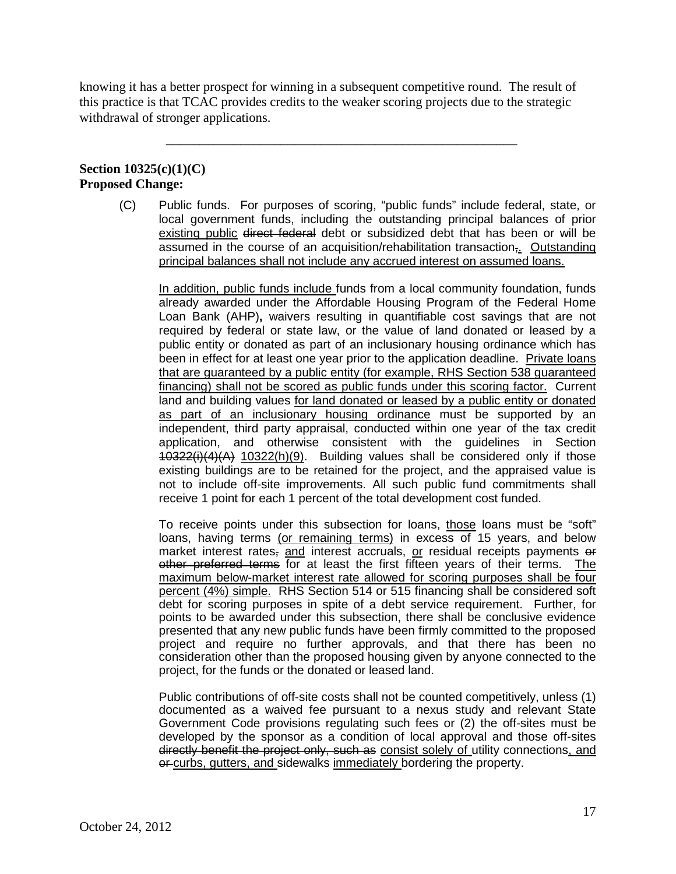knowing it has a better prospect for winning in a subsequent competitive round. The result of this practice is that TCAC provides credits to the weaker scoring projects due to the strategic withdrawal of stronger applications.

\_\_\_\_\_\_\_\_\_\_\_\_\_\_\_\_\_\_\_\_\_\_\_\_\_\_\_\_\_\_\_\_\_\_\_\_\_\_\_\_\_\_\_\_\_\_\_\_\_\_\_\_

# **Section 10325(c)(1)(C) Proposed Change:**

 local government funds, including the outstanding principal balances of prior existing public <del>direct federal</del> debt or subsidized debt that has been or will be assumed in the course of an acquisition/rehabilitation transaction<del>,</del>. Outstanding (C) Public funds. For purposes of scoring, "public funds" include federal, state, or principal balances shall not include any accrued interest on assumed loans.

 In addition, public funds include funds from a local community foundation, funds already awarded under the Affordable Housing Program of the Federal Home required by federal or state law, or the value of land donated or leased by a public entity or donated as part of an inclusionary housing ordinance which has that are guaranteed by a public entity (for example, RHS Section 538 guaranteed financing) shall not be scored as public funds under this scoring factor. Current receive 1 point for each 1 percent of the total development cost funded. Loan Bank (AHP)**,** waivers resulting in quantifiable cost savings that are not been in effect for at least one year prior to the application deadline. Private loans land and building values for land donated or leased by a public entity or donated as part of an inclusionary housing ordinance must be supported by an independent, third party appraisal, conducted within one year of the tax credit application, and otherwise consistent with the guidelines in Section 10322(i)(4)(A) 10322(h)(9). Building values shall be considered only if those existing buildings are to be retained for the project, and the appraised value is not to include off-site improvements. All such public fund commitments shall

loans, having terms (or remaining terms) in excess of 15 years, and below market interest rates, and interest accruals, or residual receipts payments or other preferred terms for at least the first fifteen years of their terms. The maximum below-market interest rate allowed for scoring purposes shall be four percent (4%) simple. RHS Section 514 or 515 financing shall be considered soft debt for scoring purposes in spite of a debt service requirement. Further, for points to be awarded under this subsection, there shall be conclusive evidence presented that any new public funds have been firmly committed to the proposed consideration other than the proposed housing given by anyone connected to the project, for the funds or the donated or leased land. To receive points under this subsection for loans, those loans must be "soft" project and require no further approvals, and that there has been no

 documented as a waived fee pursuant to a nexus study and relevant State or curbs, gutters, and sidewalks immediately bordering the property. Public contributions of off-site costs shall not be counted competitively, unless (1) Government Code provisions regulating such fees or (2) the off-sites must be developed by the sponsor as a condition of local approval and those off-sites directly benefit the project only, such as consist solely of utility connections, and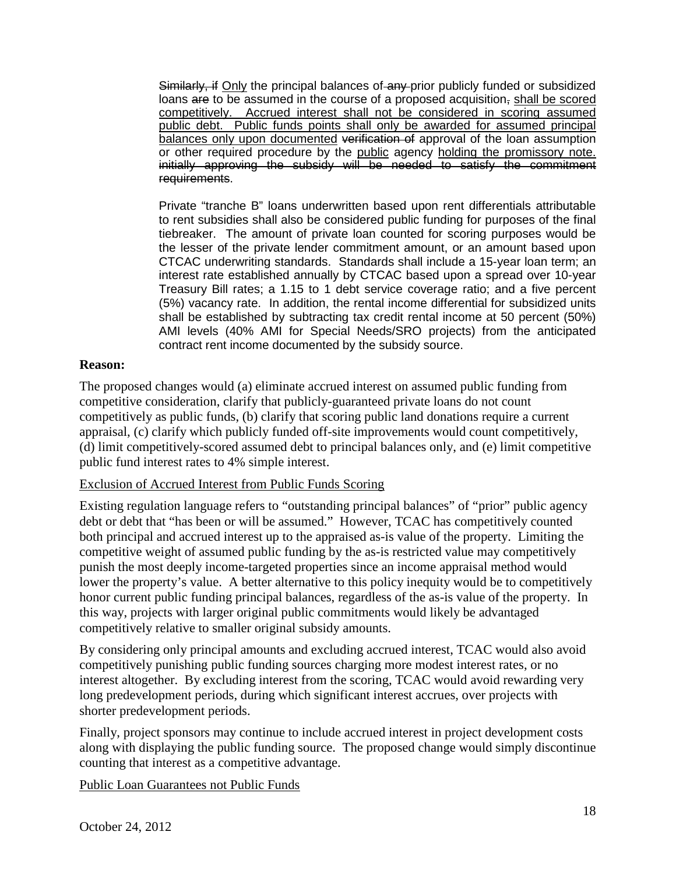Similarly, if Only the principal balances of any prior publicly funded or subsidized loans are to be assumed in the course of a proposed acquisition, shall be scored competitively. Accrued interest shall not be considered in scoring assumed public debt. Public funds points shall only be awarded for assumed principal or other required procedure by the public agency holding the promissory note. balances only upon documented verification of approval of the loan assumption initially approving the subsidy will be needed to satisfy the commitment requirements.

 to rent subsidies shall also be considered public funding for purposes of the final tiebreaker. The amount of private loan counted for scoring purposes would be the lesser of the private lender commitment amount, or an amount based upon (5%) vacancy rate. In addition, the rental income differential for subsidized units AMI levels (40% AMI for Special Needs/SRO projects) from the anticipated Private "tranche B" loans underwritten based upon rent differentials attributable CTCAC underwriting standards. Standards shall include a 15-year loan term; an interest rate established annually by CTCAC based upon a spread over 10-year Treasury Bill rates; a 1.15 to 1 debt service coverage ratio; and a five percent shall be established by subtracting tax credit rental income at 50 percent (50%) contract rent income documented by the subsidy source.

### **Reason:**

 competitively as public funds, (b) clarify that scoring public land donations require a current The proposed changes would (a) eliminate accrued interest on assumed public funding from competitive consideration, clarify that publicly-guaranteed private loans do not count appraisal, (c) clarify which publicly funded off-site improvements would count competitively, (d) limit competitively-scored assumed debt to principal balances only, and (e) limit competitive public fund interest rates to 4% simple interest.

# Exclusion of Accrued Interest from Public Funds Scoring

 both principal and accrued interest up to the appraised as-is value of the property. Limiting the competitively relative to smaller original subsidy amounts. Existing regulation language refers to "outstanding principal balances" of "prior" public agency debt or debt that "has been or will be assumed." However, TCAC has competitively counted competitive weight of assumed public funding by the as-is restricted value may competitively punish the most deeply income-targeted properties since an income appraisal method would lower the property's value. A better alternative to this policy inequity would be to competitively honor current public funding principal balances, regardless of the as-is value of the property. In this way, projects with larger original public commitments would likely be advantaged

 interest altogether. By excluding interest from the scoring, TCAC would avoid rewarding very By considering only principal amounts and excluding accrued interest, TCAC would also avoid competitively punishing public funding sources charging more modest interest rates, or no long predevelopment periods, during which significant interest accrues, over projects with shorter predevelopment periods.

 Finally, project sponsors may continue to include accrued interest in project development costs along with displaying the public funding source. The proposed change would simply discontinue counting that interest as a competitive advantage.

Public Loan Guarantees not Public Funds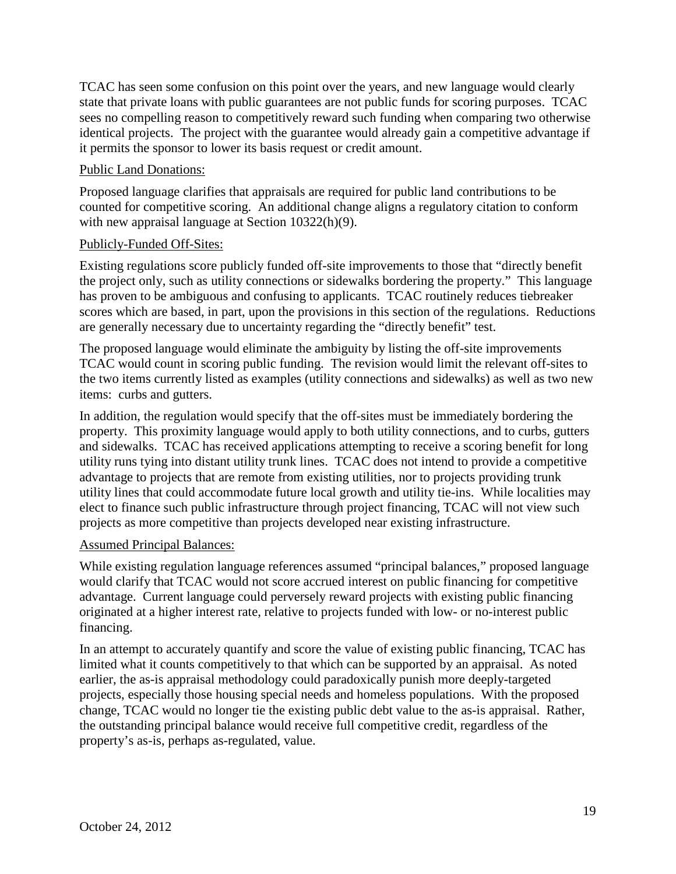state that private loans with public guarantees are not public funds for scoring purposes. TCAC TCAC has seen some confusion on this point over the years, and new language would clearly sees no compelling reason to competitively reward such funding when comparing two otherwise identical projects. The project with the guarantee would already gain a competitive advantage if it permits the sponsor to lower its basis request or credit amount.

# Public Land Donations:

 Proposed language clarifies that appraisals are required for public land contributions to be counted for competitive scoring. An additional change aligns a regulatory citation to conform with new appraisal language at Section 10322(h)(9).

### Publicly-Funded Off-Sites:

Existing regulations score publicly funded off-site improvements to those that "directly benefit the project only, such as utility connections or sidewalks bordering the property." This language has proven to be ambiguous and confusing to applicants. TCAC routinely reduces tiebreaker scores which are based, in part, upon the provisions in this section of the regulations. Reductions are generally necessary due to uncertainty regarding the "directly benefit" test.

 items: curbs and gutters. The proposed language would eliminate the ambiguity by listing the off-site improvements TCAC would count in scoring public funding. The revision would limit the relevant off-sites to the two items currently listed as examples (utility connections and sidewalks) as well as two new

In addition, the regulation would specify that the off-sites must be immediately bordering the property. This proximity language would apply to both utility connections, and to curbs, gutters and sidewalks. TCAC has received applications attempting to receive a scoring benefit for long utility runs tying into distant utility trunk lines. TCAC does not intend to provide a competitive advantage to projects that are remote from existing utilities, nor to projects providing trunk utility lines that could accommodate future local growth and utility tie-ins. While localities may elect to finance such public infrastructure through project financing, TCAC will not view such projects as more competitive than projects developed near existing infrastructure.

### Assumed Principal Balances:

While existing regulation language references assumed "principal balances," proposed language would clarify that TCAC would not score accrued interest on public financing for competitive advantage. Current language could perversely reward projects with existing public financing originated at a higher interest rate, relative to projects funded with low- or no-interest public financing.

 In an attempt to accurately quantify and score the value of existing public financing, TCAC has limited what it counts competitively to that which can be supported by an appraisal. As noted earlier, the as-is appraisal methodology could paradoxically punish more deeply-targeted projects, especially those housing special needs and homeless populations. With the proposed change, TCAC would no longer tie the existing public debt value to the as-is appraisal. Rather, the outstanding principal balance would receive full competitive credit, regardless of the property's as-is, perhaps as-regulated, value.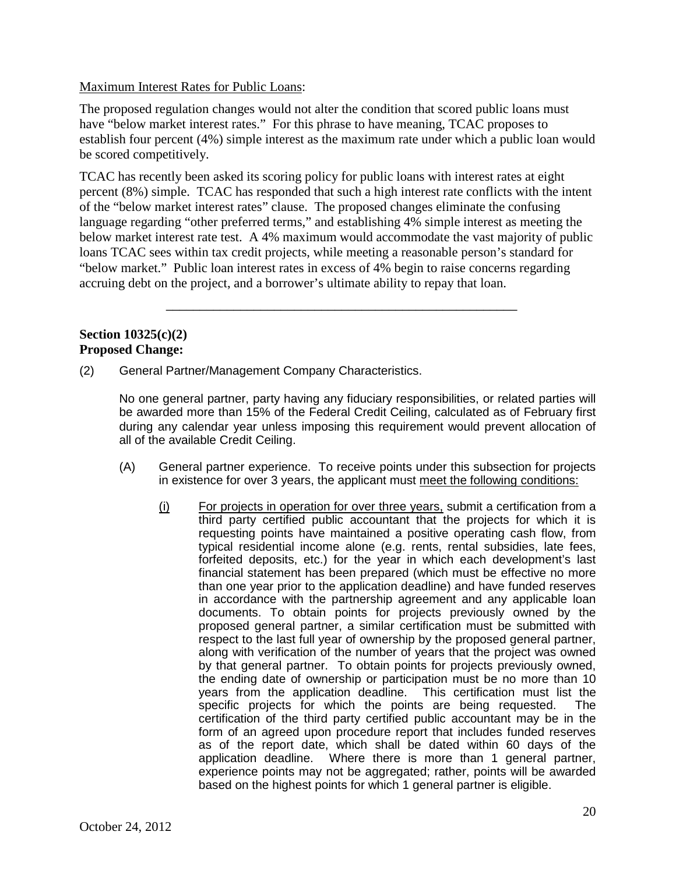# Maximum Interest Rates for Public Loans:

 have "below market interest rates." For this phrase to have meaning, TCAC proposes to The proposed regulation changes would not alter the condition that scored public loans must establish four percent (4%) simple interest as the maximum rate under which a public loan would be scored competitively.

 of the "below market interest rates" clause. The proposed changes eliminate the confusing TCAC has recently been asked its scoring policy for public loans with interest rates at eight percent (8%) simple. TCAC has responded that such a high interest rate conflicts with the intent language regarding "other preferred terms," and establishing 4% simple interest as meeting the below market interest rate test. A 4% maximum would accommodate the vast majority of public loans TCAC sees within tax credit projects, while meeting a reasonable person's standard for "below market." Public loan interest rates in excess of 4% begin to raise concerns regarding accruing debt on the project, and a borrower's ultimate ability to repay that loan.

\_\_\_\_\_\_\_\_\_\_\_\_\_\_\_\_\_\_\_\_\_\_\_\_\_\_\_\_\_\_\_\_\_\_\_\_\_\_\_\_\_\_\_\_\_\_\_\_\_\_\_\_

### **Section 10325(c)(2) Proposed Change:**

General Partner/Management Company Characteristics.

 during any calendar year unless imposing this requirement would prevent allocation of (2) General Partner/Management Company Characteristics. No one general partner, party having any fiduciary responsibilities, or related parties will be awarded more than 15% of the Federal Credit Ceiling, calculated as of February first all of the available Credit Ceiling.

- (A) General partner experience. To receive points under this subsection for projects in existence for over 3 years, the applicant must meet the following conditions:
	- $(i)$  For projects in operation for over three years, submit a certification from a third party certified public accountant that the projects for which it is than one year prior to the application deadline) and have funded reserves in accordance with the partnership agreement and any applicable loan documents. To obtain points for projects previously owned by the respect to the last full year of ownership by the proposed general partner, by that general partner. To obtain points for projects previously owned, years from the application deadline. This certification must list the specific projects for which the points are being requested. The certification of the third party certified public accountant may be in the as of the report date, which shall be dated within 60 days of the application deadline. Where there is more than 1 general partner, requesting points have maintained a positive operating cash flow, from typical residential income alone (e.g. rents, rental subsidies, late fees, forfeited deposits, etc.) for the year in which each development's last financial statement has been prepared (which must be effective no more proposed general partner, a similar certification must be submitted with along with verification of the number of years that the project was owned the ending date of ownership or participation must be no more than 10 form of an agreed upon procedure report that includes funded reserves experience points may not be aggregated; rather, points will be awarded based on the highest points for which 1 general partner is eligible.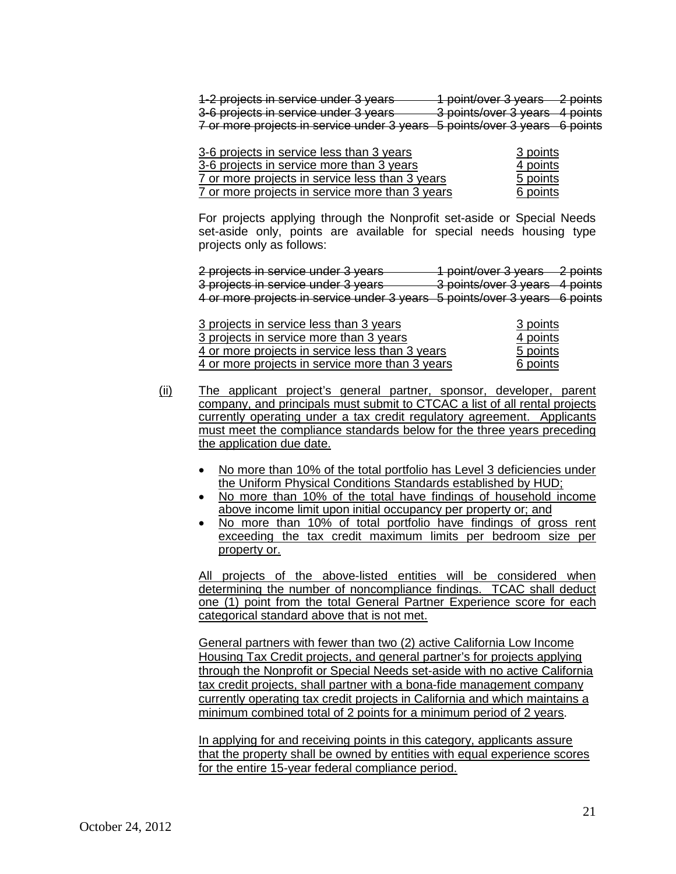| 1-2 projects in service under 3 years<br>1 point/over 3 years 2 points     |  |
|----------------------------------------------------------------------------|--|
|                                                                            |  |
| 3 points/over 3 years 4 points<br>3-6 projects in service under 3 years    |  |
| 7 or more projects in service under 3 years 5 points/over 3 years 6 points |  |

| 3-6 projects in service less than 3 years       | 3 points |
|-------------------------------------------------|----------|
| 3-6 projects in service more than 3 years       | 4 points |
| 7 or more projects in service less than 3 years | 5 points |
| 7 or more projects in service more than 3 years | 6 points |

For projects applying through the Nonprofit set-aside or Special Needs set-aside only, points are available for special needs housing type projects only as follows:

 $\overline{a}$  $\overline{a}$ 4 or more projects in service under 3 years 5 points/over 3 years 6 points 2 projects in service under 3 years 1 point/over 3 years 2 points 3 projects in service under 3 years 3 points/over 3 years 4 points

| 3 projects in service less than 3 years         | 3 points |
|-------------------------------------------------|----------|
| 3 projects in service more than 3 years         | 4 points |
| 4 or more projects in service less than 3 years | 5 points |
| 4 or more projects in service more than 3 years | 6 points |

- company, and principals must submit to CTCAC a list of all rental projects (ii) The applicant project's general partner, sponsor, developer, parent currently operating under a tax credit regulatory agreement. Applicants must meet the compliance standards below for the three years preceding the application due date.
	- No more than 10% of the total portfolio has Level 3 deficiencies under the Uniform Physical Conditions Standards established by HUD;
	- No more than 10% of the total have findings of household income above income limit upon initial occupancy per property or; and
	- No more than 10% of total portfolio have findings of gross rent exceeding the tax credit maximum limits per bedroom size per property or.

All projects of the above-listed entities will be considered when determining the number of noncompliance findings. TCAC shall deduct one (1) point from the total General Partner Experience score for each categorical standard above that is not met.

 minimum combined total of 2 points for a minimum period of 2 years. General partners with fewer than two (2) active California Low Income Housing Tax Credit projects, and general partner's for projects applying through the Nonprofit or Special Needs set-aside with no active California tax credit projects, shall partner with a bona-fide management company currently operating tax credit projects in California and which maintains a

In applying for and receiving points in this category, applicants assure that the property shall be owned by entities with equal experience scores for the entire 15-year federal compliance period.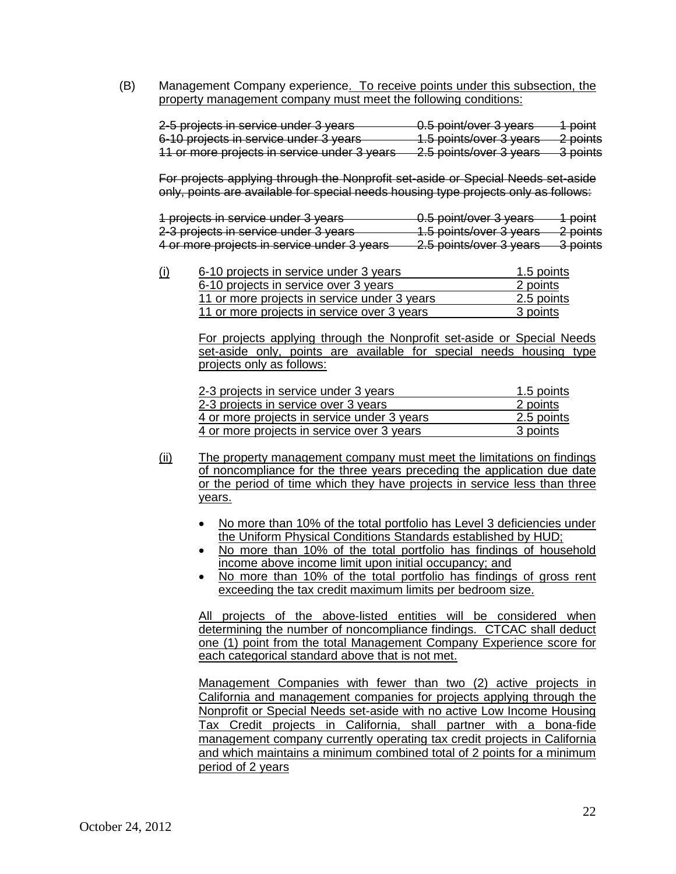(B) Management Company experience. To receive points under this subsection, the

| property management company must meet the following conditions: |                             |          |  |
|-----------------------------------------------------------------|-----------------------------|----------|--|
|                                                                 |                             |          |  |
| 2-5 projects in service under 3 years                           | 0.5 point/over 3 years      | point    |  |
| 6-10 projects in service under 3 years                          | 1.5 points/over 3 years     | 2 points |  |
| 11 or more projects in service under 3 years                    | $2.5$ points/over $2$ vegre | 2 nointe |  |

For projects applying through the Nonprofit set-aside or Special Needs set-aside only, points are available for special needs housing type projects only as follows:

| 1 projects in service under 3 years         | 0.5 point/over 3 years          | 1 point  |
|---------------------------------------------|---------------------------------|----------|
|                                             |                                 |          |
| 2-3 projects in service under 3 years       | 1.5 points/over 3 years         | 2 points |
|                                             |                                 |          |
| 4 or more projects in service under 3 years | 2.5 nointe/over 3 years         | 3 points |
|                                             | <del>z.o politici o years</del> |          |

| (i) | 6-10 projects in service under 3 years       | 1.5 points |
|-----|----------------------------------------------|------------|
|     | 6-10 projects in service over 3 years        | 2 points   |
|     | 11 or more projects in service under 3 years | 2.5 points |
|     | 11 or more projects in service over 3 years  | 3 points   |

For projects applying through the Nonprofit set-aside or Special Needs set-aside only, points are available for special needs housing type projects only as follows:

| 2-3 projects in service under 3 years       | 1.5 points |
|---------------------------------------------|------------|
| 2-3 projects in service over 3 years        | 2 points   |
| 4 or more projects in service under 3 years | 2.5 points |
| 4 or more projects in service over 3 years  | 3 points   |

- (ii) The property management company must meet the limitations on findings of noncompliance for the three years preceding the application due date or the period of time which they have projects in service less than three years.
	- No more than 10% of the total portfolio has Level 3 deficiencies under the Uniform Physical Conditions Standards established by HUD;
	- No more than 10% of the total portfolio has findings of household income above income limit upon initial occupancy; and
	- No more than 10% of the total portfolio has findings of gross rent exceeding the tax credit maximum limits per bedroom size.

 determining the number of noncompliance findings. CTCAC shall deduct All projects of the above-listed entities will be considered when one (1) point from the total Management Company Experience score for each categorical standard above that is not met.

 Management Companies with fewer than two (2) active projects in and which maintains a minimum combined total of 2 points for a minimum California and management companies for projects applying through the Nonprofit or Special Needs set-aside with no active Low Income Housing Tax Credit projects in California, shall partner with a bona-fide management company currently operating tax credit projects in California period of 2 years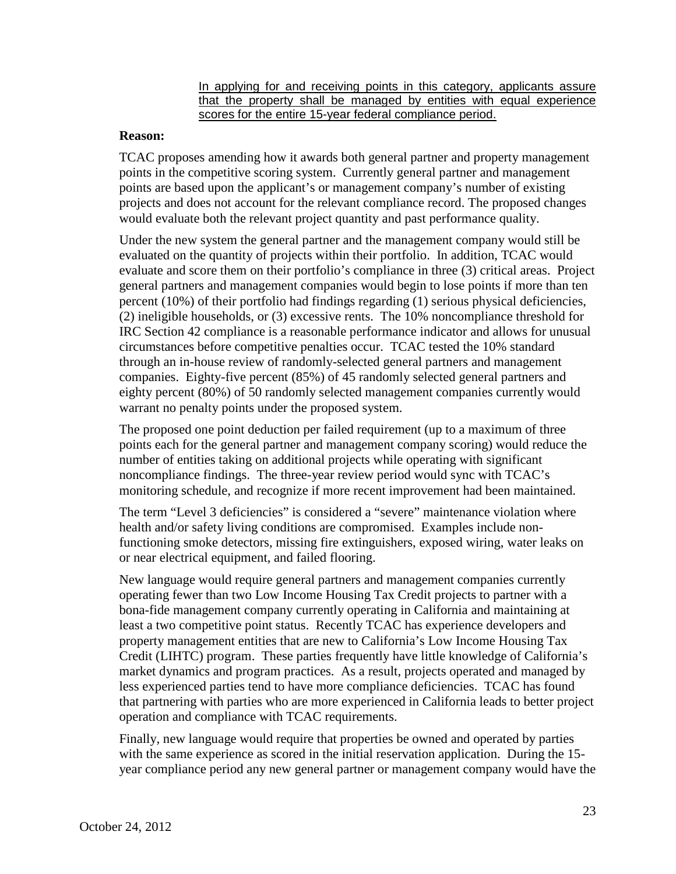In applying for and receiving points in this category, applicants assure that the property shall be managed by entities with equal experience scores for the entire 15-year federal compliance period.

### **Reason:**

would evaluate both the relevant project quantity and past performance quality. TCAC proposes amending how it awards both general partner and property management points in the competitive scoring system. Currently general partner and management points are based upon the applicant's or management company's number of existing projects and does not account for the relevant compliance record. The proposed changes

Under the new system the general partner and the management company would still be evaluated on the quantity of projects within their portfolio. In addition, TCAC would evaluate and score them on their portfolio's compliance in three (3) critical areas. Project general partners and management companies would begin to lose points if more than ten percent (10%) of their portfolio had findings regarding (1) serious physical deficiencies, (2) ineligible households, or (3) excessive rents. The 10% noncompliance threshold for IRC Section 42 compliance is a reasonable performance indicator and allows for unusual circumstances before competitive penalties occur. TCAC tested the 10% standard through an in-house review of randomly-selected general partners and management companies. Eighty-five percent (85%) of 45 randomly selected general partners and eighty percent (80%) of 50 randomly selected management companies currently would warrant no penalty points under the proposed system.

The proposed one point deduction per failed requirement (up to a maximum of three points each for the general partner and management company scoring) would reduce the number of entities taking on additional projects while operating with significant noncompliance findings. The three-year review period would sync with TCAC's monitoring schedule, and recognize if more recent improvement had been maintained.

The term "Level 3 deficiencies" is considered a "severe" maintenance violation where health and/or safety living conditions are compromised. Examples include nonfunctioning smoke detectors, missing fire extinguishers, exposed wiring, water leaks on or near electrical equipment, and failed flooring.

 New language would require general partners and management companies currently property management entities that are new to California's Low Income Housing Tax Credit (LIHTC) program. These parties frequently have little knowledge of California's operating fewer than two Low Income Housing Tax Credit projects to partner with a bona-fide management company currently operating in California and maintaining at least a two competitive point status. Recently TCAC has experience developers and market dynamics and program practices. As a result, projects operated and managed by less experienced parties tend to have more compliance deficiencies. TCAC has found that partnering with parties who are more experienced in California leads to better project operation and compliance with TCAC requirements.

 year compliance period any new general partner or management company would have the Finally, new language would require that properties be owned and operated by parties with the same experience as scored in the initial reservation application. During the 15-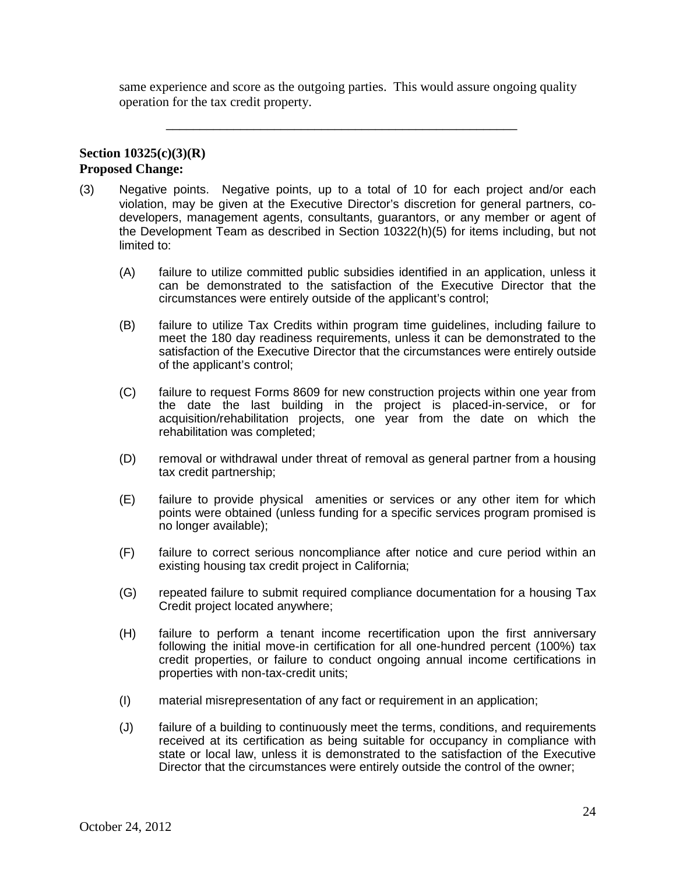same experience and score as the outgoing parties. This would assure ongoing quality operation for the tax credit property.

\_\_\_\_\_\_\_\_\_\_\_\_\_\_\_\_\_\_\_\_\_\_\_\_\_\_\_\_\_\_\_\_\_\_\_\_\_\_\_\_\_\_\_\_\_\_\_\_\_\_\_\_

### **Section 10325(c)(3)(R) Proposed Change:**

- (3) Negative points. Negative points, up to a total of 10 for each project and/or each violation, may be given at the Executive Director's discretion for general partners, codevelopers, management agents, consultants, guarantors, or any member or agent of the Development Team as described in Section 10322(h)(5) for items including, but not limited to:
	- (A) failure to utilize committed public subsidies identified in an application, unless it can be demonstrated to the satisfaction of the Executive Director that the circumstances were entirely outside of the applicant's control;
	- (B) failure to utilize Tax Credits within program time guidelines, including failure to meet the 180 day readiness requirements, unless it can be demonstrated to the satisfaction of the Executive Director that the circumstances were entirely outside of the applicant's control;
	- (C) failure to request Forms 8609 for new construction projects within one year from acquisition/rehabilitation projects, one year from the date on which the the date the last building in the project is placed-in-service, or for rehabilitation was completed;
	- (D) removal or withdrawal under threat of removal as general partner from a housing tax credit partnership;
	- (E) failure to provide physical amenities or services or any other item for which points were obtained (unless funding for a specific services program promised is no longer available);
	- (F) failure to correct serious noncompliance after notice and cure period within an existing housing tax credit project in California;
	- (G) repeated failure to submit required compliance documentation for a housing Tax Credit project located anywhere;
	- (H) failure to perform a tenant income recertification upon the first anniversary following the initial move-in certification for all one-hundred percent (100%) tax credit properties, or failure to conduct ongoing annual income certifications in properties with non-tax-credit units;
	- (I) material misrepresentation of any fact or requirement in an application;
	- (J) failure of a building to continuously meet the terms, conditions, and requirements state or local law, unless it is demonstrated to the satisfaction of the Executive received at its certification as being suitable for occupancy in compliance with Director that the circumstances were entirely outside the control of the owner;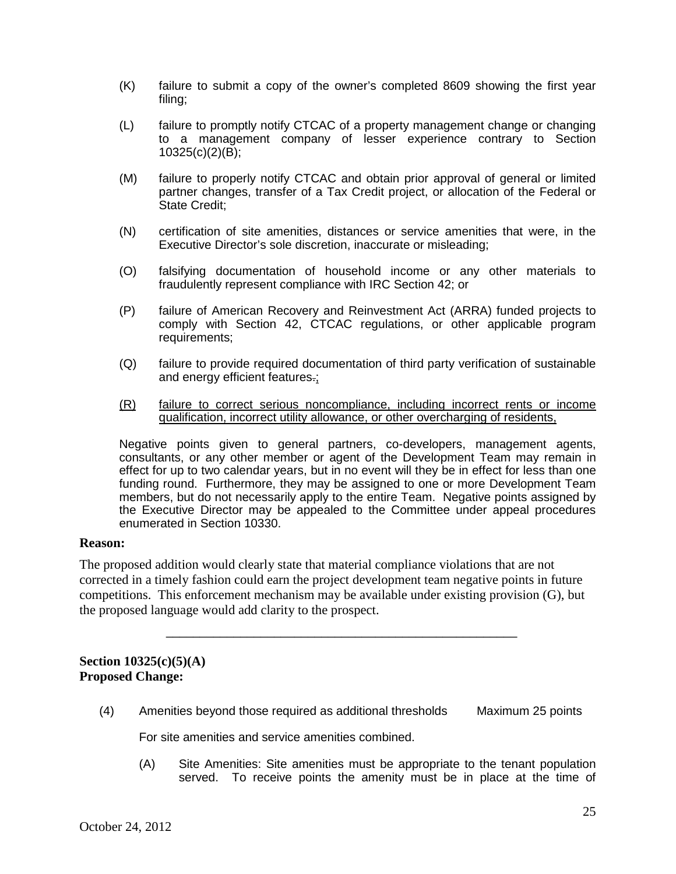- (K) failure to submit a copy of the owner's completed 8609 showing the first year filing;
- (L) failure to promptly notify CTCAC of a property management change or changing to a management company of lesser experience contrary to Section 10325(c)(2)(B);
- partner changes, transfer of a Tax Credit project, or allocation of the Federal or (M) failure to properly notify CTCAC and obtain prior approval of general or limited State Credit;
- (N) certification of site amenities, distances or service amenities that were, in the Executive Director's sole discretion, inaccurate or misleading;
- (O) falsifying documentation of household income or any other materials to fraudulently represent compliance with IRC Section 42; or
- (P) failure of American Recovery and Reinvestment Act (ARRA) funded projects to comply with Section 42, CTCAC regulations, or other applicable program requirements;
- $(Q)$ failure to provide required documentation of third party verification of sustainable and energy efficient features.;
- (R) failure to correct serious noncompliance, including incorrect rents or income qualification, incorrect utility allowance, or other overcharging of residents,

 Negative points given to general partners, co-developers, management agents, effect for up to two calendar years, but in no event will they be in effect for less than one funding round. Furthermore, they may be assigned to one or more Development Team members, but do not necessarily apply to the entire Team. Negative points assigned by consultants, or any other member or agent of the Development Team may remain in the Executive Director may be appealed to the Committee under appeal procedures enumerated in Section 10330.

#### **Reason:**

The proposed addition would clearly state that material compliance violations that are not corrected in a timely fashion could earn the project development team negative points in future competitions. This enforcement mechanism may be available under existing provision (G), but the proposed language would add clarity to the prospect.

# **Section 10325(c)(5)(A) Proposed Change:**

(4) Amenities beyond those required as additional thresholds Maximum 25 points

\_\_\_\_\_\_\_\_\_\_\_\_\_\_\_\_\_\_\_\_\_\_\_\_\_\_\_\_\_\_\_\_\_\_\_\_\_\_\_\_\_\_\_\_\_\_\_\_\_\_\_\_

For site amenities and service amenities combined.

 served. To receive points the amenity must be in place at the time of (A) Site Amenities: Site amenities must be appropriate to the tenant population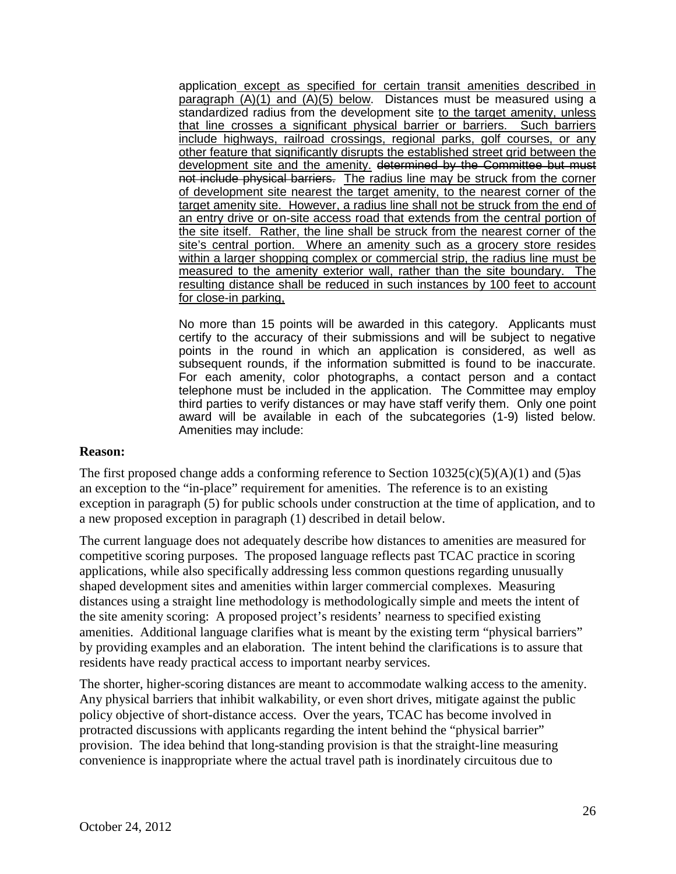paragraph (A)(1) and (A)(5) below. Distances must be measured using a standardized radius from the development site to the target amenity, unless that line crosses a significant physical barrier or barriers. Such barriers include highways, railroad crossings, regional parks, golf courses, or any other feature that significantly disrupts the established street grid between the development site and the amenity. determined by the Committee but must not include physical barriers. The radius line may be struck from the corner of development site nearest the target amenity, to the nearest corner of the an entry drive or on-site access road that extends from the central portion of the site itself. Rather, the line shall be struck from the nearest corner of the site's central portion. Where an amenity such as a grocery store resides within a larger shopping complex or commercial strip, the radius line must be measured to the amenity exterior wall, rather than the site boundary. The application except as specified for certain transit amenities described in target amenity site. However, a radius line shall not be struck from the end of resulting distance shall be reduced in such instances by 100 feet to account for close-in parking,

 No more than 15 points will be awarded in this category. Applicants must subsequent rounds, if the information submitted is found to be inaccurate. third parties to verify distances or may have staff verify them. Only one point award will be available in each of the subcategories (1-9) listed below.<br>Amenities may include: certify to the accuracy of their submissions and will be subject to negative points in the round in which an application is considered, as well as For each amenity, color photographs, a contact person and a contact telephone must be included in the application. The Committee may employ

#### **Reason:**

The first proposed change adds a conforming reference to Section  $10325(c)(5)(A)(1)$  and  $(5)$ as an exception to the "in-place" requirement for amenities. The reference is to an existing exception in paragraph (5) for public schools under construction at the time of application, and to a new proposed exception in paragraph (1) described in detail below.

 shaped development sites and amenities within larger commercial complexes. Measuring residents have ready practical access to important nearby services. The current language does not adequately describe how distances to amenities are measured for competitive scoring purposes. The proposed language reflects past TCAC practice in scoring applications, while also specifically addressing less common questions regarding unusually distances using a straight line methodology is methodologically simple and meets the intent of the site amenity scoring: A proposed project's residents' nearness to specified existing amenities. Additional language clarifies what is meant by the existing term "physical barriers" by providing examples and an elaboration. The intent behind the clarifications is to assure that

The shorter, higher-scoring distances are meant to accommodate walking access to the amenity. Any physical barriers that inhibit walkability, or even short drives, mitigate against the public policy objective of short-distance access. Over the years, TCAC has become involved in protracted discussions with applicants regarding the intent behind the "physical barrier" provision. The idea behind that long-standing provision is that the straight-line measuring convenience is inappropriate where the actual travel path is inordinately circuitous due to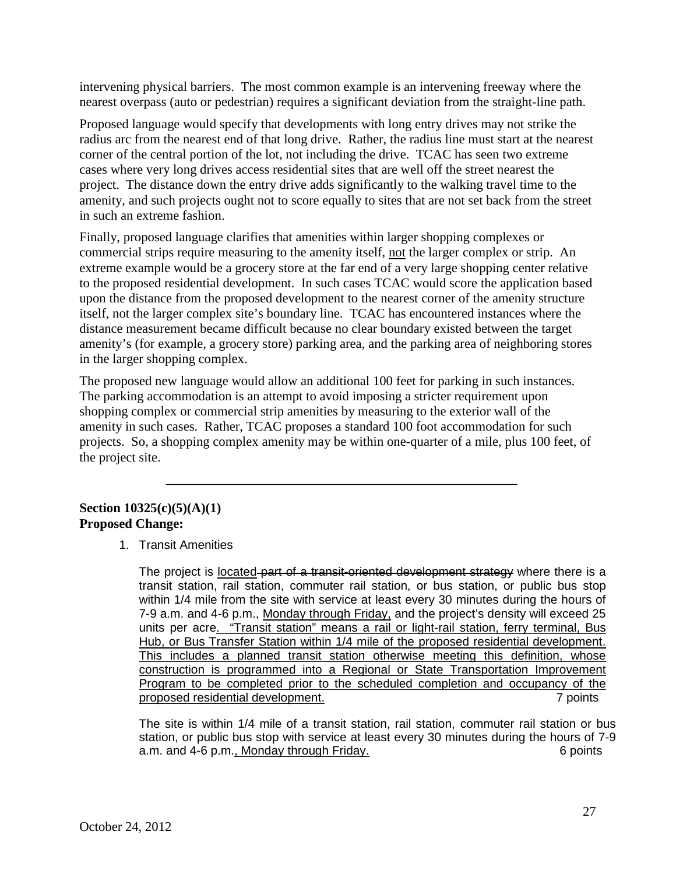nearest overpass (auto or pedestrian) requires a significant deviation from the straight-line path. intervening physical barriers. The most common example is an intervening freeway where the

Proposed language would specify that developments with long entry drives may not strike the radius arc from the nearest end of that long drive. Rather, the radius line must start at the nearest corner of the central portion of the lot, not including the drive. TCAC has seen two extreme cases where very long drives access residential sites that are well off the street nearest the project. The distance down the entry drive adds significantly to the walking travel time to the amenity, and such projects ought not to score equally to sites that are not set back from the street in such an extreme fashion.

Finally, proposed language clarifies that amenities within larger shopping complexes or commercial strips require measuring to the amenity itself, not the larger complex or strip. An extreme example would be a grocery store at the far end of a very large shopping center relative to the proposed residential development. In such cases TCAC would score the application based upon the distance from the proposed development to the nearest corner of the amenity structure itself, not the larger complex site's boundary line. TCAC has encountered instances where the distance measurement became difficult because no clear boundary existed between the target amenity's (for example, a grocery store) parking area, and the parking area of neighboring stores in the larger shopping complex.

 amenity in such cases. Rather, TCAC proposes a standard 100 foot accommodation for such The proposed new language would allow an additional 100 feet for parking in such instances. The parking accommodation is an attempt to avoid imposing a stricter requirement upon shopping complex or commercial strip amenities by measuring to the exterior wall of the projects. So, a shopping complex amenity may be within one-quarter of a mile, plus 100 feet, of the project site.

\_\_\_\_\_\_\_\_\_\_\_\_\_\_\_\_\_\_\_\_\_\_\_\_\_\_\_\_\_\_\_\_\_\_\_\_\_\_\_\_\_\_\_\_\_\_\_\_\_\_\_\_

# **Section 10325(c)(5)(A)(1) Proposed Change:**

1. Transit Amenities

1. Transit Amenities<br>The project is <u>located part of a transit-oriented development strategy</u> where there is a transit station, rail station, commuter rail station, or bus station, or public bus stop within 1/4 mile from the site with service at least every 30 minutes during the hours of 7-9 a.m. and 4-6 p.m., Monday through Friday, and the project's density will exceed 25 Hub, or Bus Transfer Station within 1/4 mile of the proposed residential development. construction is programmed into a Regional or State Transportation Improvement units per acre. "Transit station" means a rail or light-rail station, ferry terminal, Bus This includes a planned transit station otherwise meeting this definition, whose Program to be completed prior to the scheduled completion and occupancy of the proposed residential development. 7 points

 The site is within 1/4 mile of a transit station, rail station, commuter rail station or bus 6 points station, or public bus stop with service at least every 30 minutes during the hours of 7-9 a.m. and 4-6 p.m., Monday through Friday.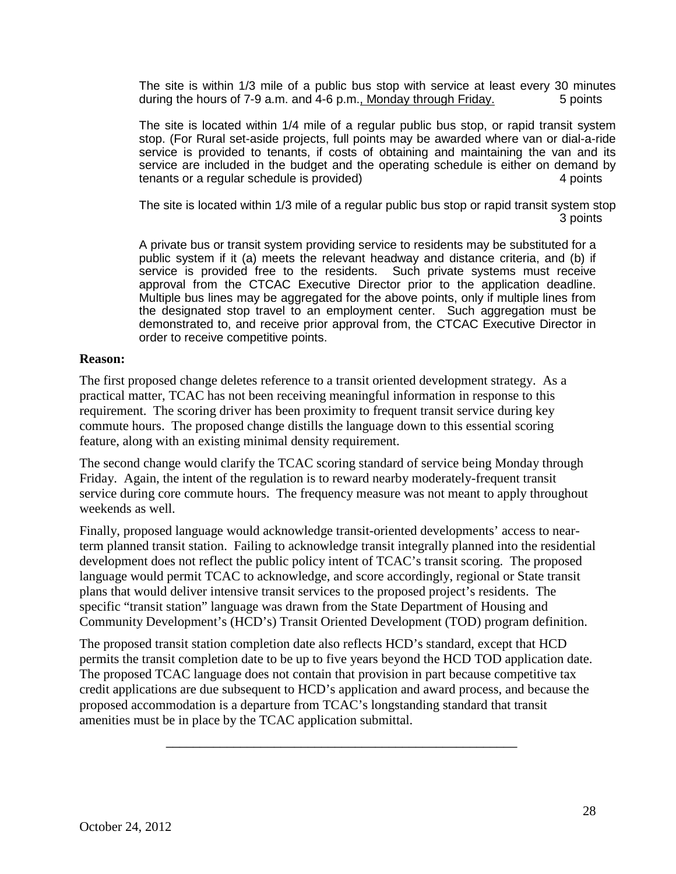during the hours of 7-9 a.m. and 4-6 p.m., Monday through Friday. 5 points The site is within 1/3 mile of a public bus stop with service at least every 30 minutes

 The site is located within 1/4 mile of a regular public bus stop, or rapid transit system service are included in the budget and the operating schedule is either on demand by stop. (For Rural set-aside projects, full points may be awarded where van or dial-a-ride service is provided to tenants, if costs of obtaining and maintaining the van and its tenants or a regular schedule is provided) 4 points

 3 points The site is located within 1/3 mile of a regular public bus stop or rapid transit system stop

 public system if it (a) meets the relevant headway and distance criteria, and (b) if approval from the CTCAC Executive Director prior to the application deadline. A private bus or transit system providing service to residents may be substituted for a service is provided free to the residents. Such private systems must receive Multiple bus lines may be aggregated for the above points, only if multiple lines from the designated stop travel to an employment center. Such aggregation must be demonstrated to, and receive prior approval from, the CTCAC Executive Director in order to receive competitive points.

### **Reason:**

 The first proposed change deletes reference to a transit oriented development strategy. As a commute hours. The proposed change distills the language down to this essential scoring feature, along with an existing minimal density requirement. practical matter, TCAC has not been receiving meaningful information in response to this requirement. The scoring driver has been proximity to frequent transit service during key

 service during core commute hours. The frequency measure was not meant to apply throughout The second change would clarify the TCAC scoring standard of service being Monday through Friday. Again, the intent of the regulation is to reward nearby moderately-frequent transit weekends as well.

Finally, proposed language would acknowledge transit-oriented developments' access to nearterm planned transit station. Failing to acknowledge transit integrally planned into the residential development does not reflect the public policy intent of TCAC's transit scoring. The proposed language would permit TCAC to acknowledge, and score accordingly, regional or State transit plans that would deliver intensive transit services to the proposed project's residents. The specific "transit station" language was drawn from the State Department of Housing and Community Development's (HCD's) Transit Oriented Development (TOD) program definition.

The proposed transit station completion date also reflects HCD's standard, except that HCD permits the transit completion date to be up to five years beyond the HCD TOD application date. The proposed TCAC language does not contain that provision in part because competitive tax credit applications are due subsequent to HCD's application and award process, and because the proposed accommodation is a departure from TCAC's longstanding standard that transit amenities must be in place by the TCAC application submittal.

\_\_\_\_\_\_\_\_\_\_\_\_\_\_\_\_\_\_\_\_\_\_\_\_\_\_\_\_\_\_\_\_\_\_\_\_\_\_\_\_\_\_\_\_\_\_\_\_\_\_\_\_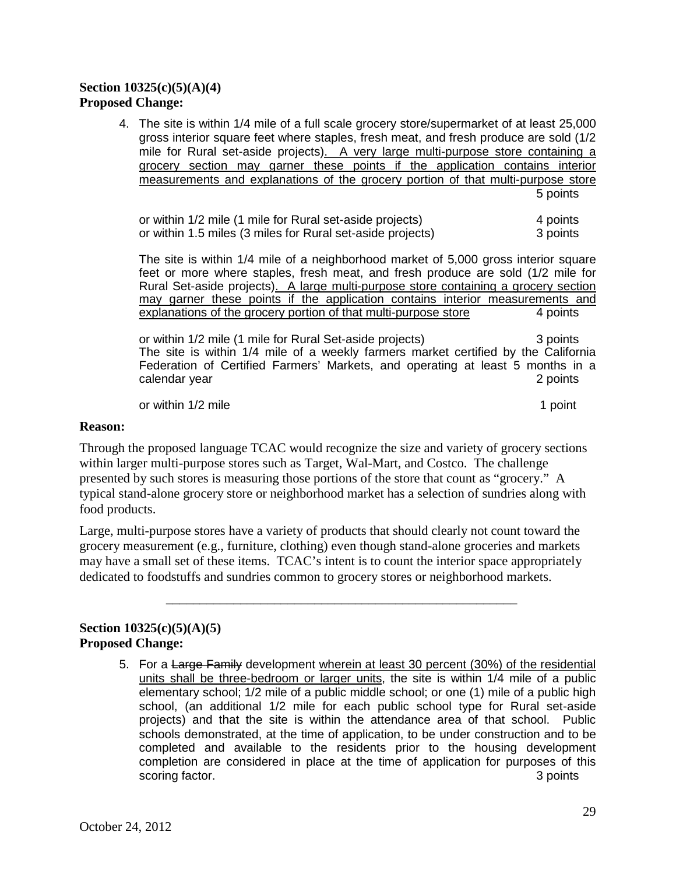# **Section 10325(c)(5)(A)(4) Proposed Change:**

4. The site is within 1/4 mile of a full scale grocery store/supermarket of at least 25,000 5 points gross interior square feet where staples, fresh meat, and fresh produce are sold (1/2 mile for Rural set-aside projects). A very large multi-purpose store containing a grocery section may garner these points if the application contains interior measurements and explanations of the grocery portion of that multi-purpose store

4 points or within 1.5 miles (3 miles for Rural set-aside projects) 3 points or within 1/2 mile (1 mile for Rural set-aside projects)

 The site is within 1/4 mile of a neighborhood market of 5,000 gross interior square feet or more where staples, fresh meat, and fresh produce are sold (1/2 mile for explanations of the grocery portion of that multi-purpose store 4 points Rural Set-aside projects). A large multi-purpose store containing a grocery section may garner these points if the application contains interior measurements and

3 points Federation of Certified Farmers' Markets, and operating at least 5 months in a or within 1/2 mile (1 mile for Rural Set-aside projects) The site is within 1/4 mile of a weekly farmers market certified by the California calendar year 2 points and 2 points and 2 points are  $\sim$  2 points and 2 points are  $\sim$  2 points and 2 points are  $\sim$  2 points and 2 points are  $\sim$  2 points and 2 points are  $\sim$  2 points and 2 points are  $\sim$  2 points

or within  $1/2$  mile

1 point

### **Reason:**

 Through the proposed language TCAC would recognize the size and variety of grocery sections presented by such stores is measuring those portions of the store that count as "grocery." A within larger multi-purpose stores such as Target, Wal-Mart, and Costco. The challenge typical stand-alone grocery store or neighborhood market has a selection of sundries along with food products.

 grocery measurement (e.g., furniture, clothing) even though stand-alone groceries and markets Large, multi-purpose stores have a variety of products that should clearly not count toward the may have a small set of these items. TCAC's intent is to count the interior space appropriately dedicated to foodstuffs and sundries common to grocery stores or neighborhood markets.

\_\_\_\_\_\_\_\_\_\_\_\_\_\_\_\_\_\_\_\_\_\_\_\_\_\_\_\_\_\_\_\_\_\_\_\_\_\_\_\_\_\_\_\_\_\_\_\_\_\_\_\_

### **Section 10325(c)(5)(A)(5) Proposed Change:**

5. For a Large Family development wherein at least 30 percent (30%) of the residential elementary school; 1/2 mile of a public middle school; or one (1) mile of a public high completion are considered in place at the time of application for purposes of this units shall be three-bedroom or larger units, the site is within 1/4 mile of a public school, (an additional 1/2 mile for each public school type for Rural set-aside projects) and that the site is within the attendance area of that school. Public schools demonstrated, at the time of application, to be under construction and to be completed and available to the residents prior to the housing development scoring factor. **3** points **3** points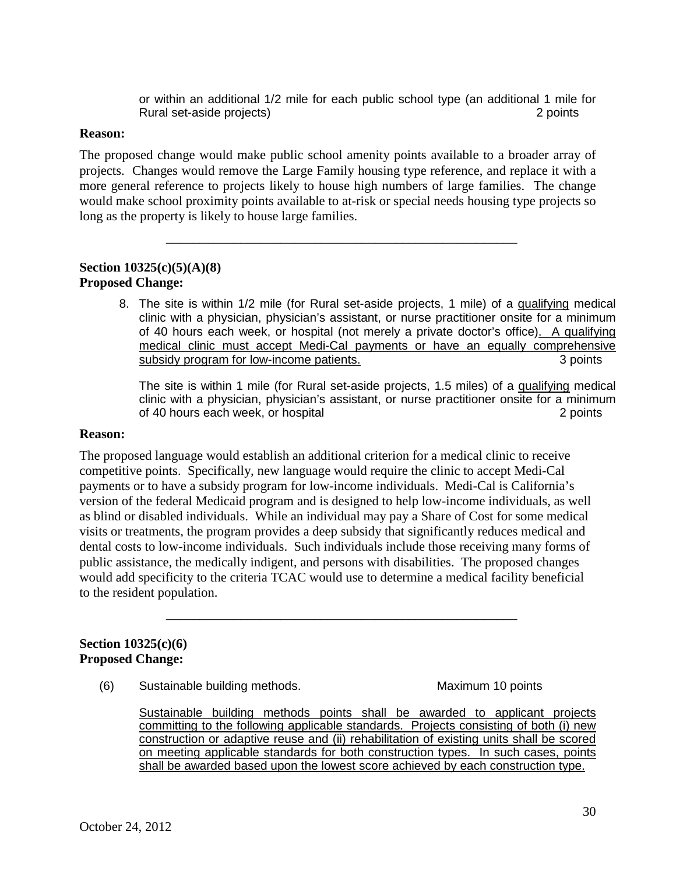or within an additional 1/2 mile for each public school type (an additional 1 mile for Rural set-aside projects) 2 points

#### **Reason:**

 The proposed change would make public school amenity points available to a broader array of projects. Changes would remove the Large Family housing type reference, and replace it with a more general reference to projects likely to house high numbers of large families. The change would make school proximity points available to at-risk or special needs housing type projects so long as the property is likely to house large families.

\_\_\_\_\_\_\_\_\_\_\_\_\_\_\_\_\_\_\_\_\_\_\_\_\_\_\_\_\_\_\_\_\_\_\_\_\_\_\_\_\_\_\_\_\_\_\_\_\_\_\_\_

## **Section 10325(c)(5)(A)(8) Proposed Change:**

8. The site is within 1/2 mile (for Rural set-aside projects, 1 mile) of a qualifying medical clinic with a physician, physician's assistant, or nurse practitioner onsite for a minimum of 40 hours each week, or hospital (not merely a private doctor's office). A qualifying 3 points medical clinic must accept Medi-Cal payments or have an equally comprehensive subsidy program for low-income patients.

The site is within 1 mile (for Rural set-aside projects, 1.5 miles) of a qualifying medical of 40 hours each week, or hospital 2 points 2 points clinic with a physician, physician's assistant, or nurse practitioner onsite for a minimum

#### **Reason:**

 payments or to have a subsidy program for low-income individuals. Medi-Cal is California's visits or treatments, the program provides a deep subsidy that significantly reduces medical and The proposed language would establish an additional criterion for a medical clinic to receive competitive points. Specifically, new language would require the clinic to accept Medi-Cal version of the federal Medicaid program and is designed to help low-income individuals, as well as blind or disabled individuals. While an individual may pay a Share of Cost for some medical dental costs to low-income individuals. Such individuals include those receiving many forms of public assistance, the medically indigent, and persons with disabilities. The proposed changes would add specificity to the criteria TCAC would use to determine a medical facility beneficial to the resident population.

\_\_\_\_\_\_\_\_\_\_\_\_\_\_\_\_\_\_\_\_\_\_\_\_\_\_\_\_\_\_\_\_\_\_\_\_\_\_\_\_\_\_\_\_\_\_\_\_\_\_\_\_

### **Section 10325(c)(6) Proposed Change:**

(6) Sustainable building methods. Maximum 10 points

 on meeting applicable standards for both construction types. In such cases, points Sustainable building methods points shall be awarded to applicant projects committing to the following applicable standards. Projects consisting of both (i) new construction or adaptive reuse and (ii) rehabilitation of existing units shall be scored shall be awarded based upon the lowest score achieved by each construction type.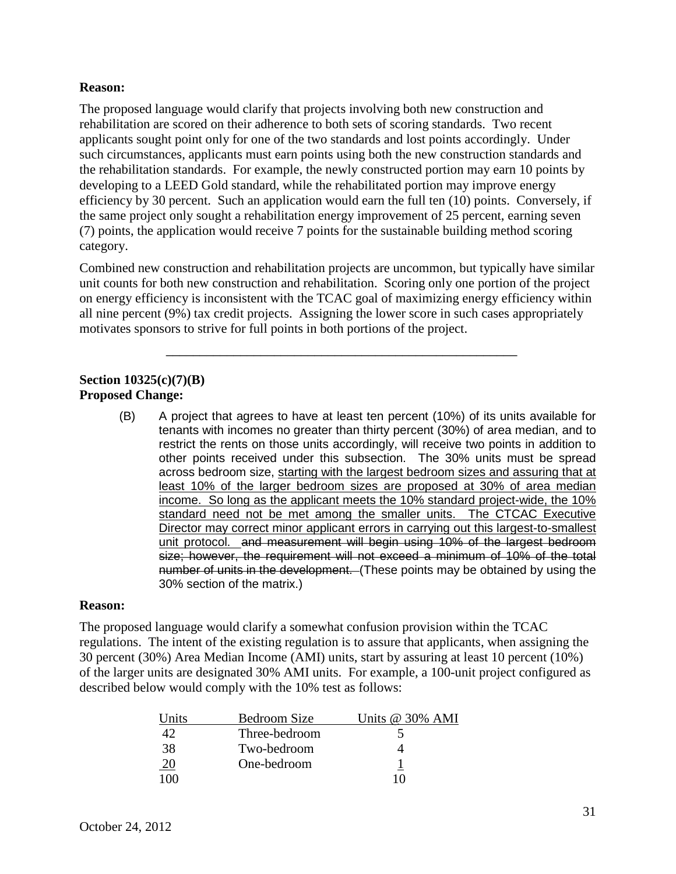### **Reason:**

The proposed language would clarify that projects involving both new construction and rehabilitation are scored on their adherence to both sets of scoring standards. Two recent applicants sought point only for one of the two standards and lost points accordingly. Under such circumstances, applicants must earn points using both the new construction standards and the rehabilitation standards. For example, the newly constructed portion may earn 10 points by developing to a LEED Gold standard, while the rehabilitated portion may improve energy efficiency by 30 percent. Such an application would earn the full ten (10) points. Conversely, if the same project only sought a rehabilitation energy improvement of 25 percent, earning seven (7) points, the application would receive 7 points for the sustainable building method scoring category.

 on energy efficiency is inconsistent with the TCAC goal of maximizing energy efficiency within Combined new construction and rehabilitation projects are uncommon, but typically have similar unit counts for both new construction and rehabilitation. Scoring only one portion of the project all nine percent (9%) tax credit projects. Assigning the lower score in such cases appropriately motivates sponsors to strive for full points in both portions of the project.

\_\_\_\_\_\_\_\_\_\_\_\_\_\_\_\_\_\_\_\_\_\_\_\_\_\_\_\_\_\_\_\_\_\_\_\_\_\_\_\_\_\_\_\_\_\_\_\_\_\_\_\_

# **Section 10325(c)(7)(B) Proposed Change:**

 tenants with incomes no greater than thirty percent (30%) of area median, and to across bedroom size, starting with the largest bedroom sizes and assuring that at least 10% of the larger bedroom sizes are proposed at 30% of area median income. So long as the applicant meets the 10% standard project-wide, the 10% Director may correct minor applicant errors in carrying out this largest-to-smallest number of units in the development. (These points may be obtained by using the (B) A project that agrees to have at least ten percent (10%) of its units available for restrict the rents on those units accordingly, will receive two points in addition to other points received under this subsection. The 30% units must be spread standard need not be met among the smaller units. The CTCAC Executive unit protocol. and measurement will begin using 10% of the largest bedroom size; however, the requirement will not exceed a minimum of 10% of the total 30% section of the matrix.)

#### **Reason:**

 30 percent (30%) Area Median Income (AMI) units, start by assuring at least 10 percent (10%) described below would comply with the 10% test as follows: The proposed language would clarify a somewhat confusion provision within the TCAC regulations. The intent of the existing regulation is to assure that applicants, when assigning the of the larger units are designated 30% AMI units. For example, a 100-unit project configured as

| Units      | Bedroom Size  | Units @ 30% AMI |
|------------|---------------|-----------------|
| 42         | Three-bedroom |                 |
| 38         | Two-bedroom   |                 |
| <u> 20</u> | One-bedroom   |                 |
| 100        |               | 10              |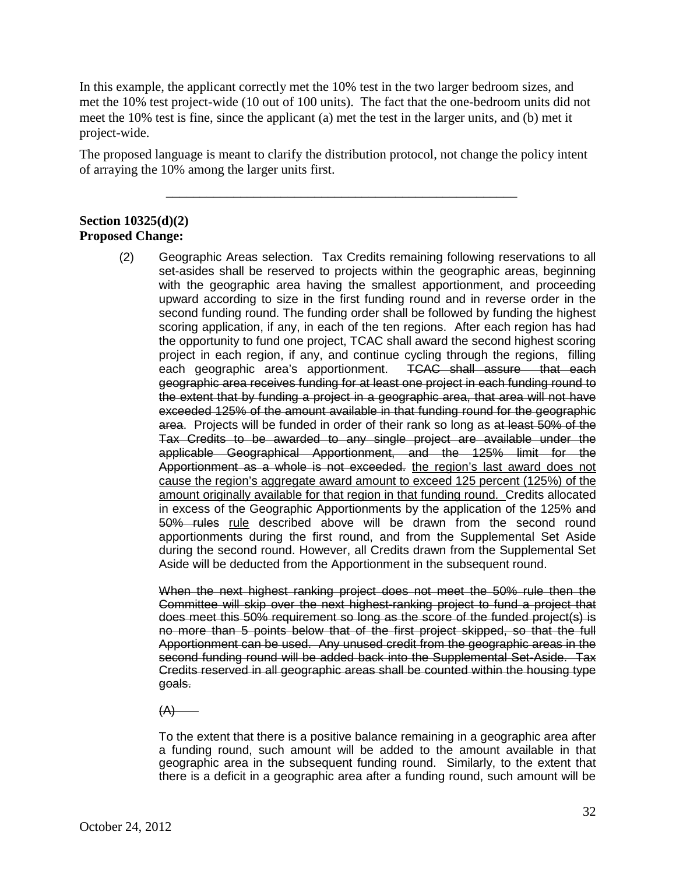In this example, the applicant correctly met the 10% test in the two larger bedroom sizes, and met the 10% test project-wide (10 out of 100 units). The fact that the one-bedroom units did not meet the 10% test is fine, since the applicant (a) met the test in the larger units, and (b) met it project-wide.

The proposed language is meant to clarify the distribution protocol, not change the policy intent of arraying the 10% among the larger units first.

\_\_\_\_\_\_\_\_\_\_\_\_\_\_\_\_\_\_\_\_\_\_\_\_\_\_\_\_\_\_\_\_\_\_\_\_\_\_\_\_\_\_\_\_\_\_\_\_\_\_\_\_

# **Section 10325(d)(2) Proposed Change:**

(2) Geographic Areas selection. Tax Credits remaining following reservations to all second funding round. The funding order shall be followed by funding the highest project in each region, if any, and continue cycling through the regions, filling each geographic area's apportionment. TCAC shall assure that each geographic area receives funding for at least one project in each funding round to area. Projects will be funded in order of their rank so long as at least 50% of the applicable Geographical Apportionment, and the 125% limit for the in excess of the Geographic Apportionments by the application of the 125% and 50% rules rule described above will be drawn from the second round set-asides shall be reserved to projects within the geographic areas, beginning with the geographic area having the smallest apportionment, and proceeding upward according to size in the first funding round and in reverse order in the scoring application, if any, in each of the ten regions. After each region has had the opportunity to fund one project, TCAC shall award the second highest scoring the extent that by funding a project in a geographic area, that area will not have exceeded 125% of the amount available in that funding round for the geographic Tax Credits to be awarded to any single project are available under the Apportionment as a whole is not exceeded. the region's last award does not cause the region's aggregate award amount to exceed 125 percent (125%) of the amount originally available for that region in that funding round. Credits allocated apportionments during the first round, and from the Supplemental Set Aside during the second round. However, all Credits drawn from the Supplemental Set Aside will be deducted from the Apportionment in the subsequent round.

 Committee will skip over the next highest-ranking project to fund a project that Apportionment can be used. Any unused credit from the geographic areas in the second funding round will be added back into the Supplemental Set-Aside. Tax Credits reserved in all geographic areas shall be counted within the housing type When the next highest ranking project does not meet the 50% rule then the does meet this 50% requirement so long as the score of the funded project(s) is no more than 5 points below that of the first project skipped, so that the full goals.

 $(A)$ 

 there is a deficit in a geographic area after a funding round, such amount will be To the extent that there is a positive balance remaining in a geographic area after a funding round, such amount will be added to the amount available in that geographic area in the subsequent funding round. Similarly, to the extent that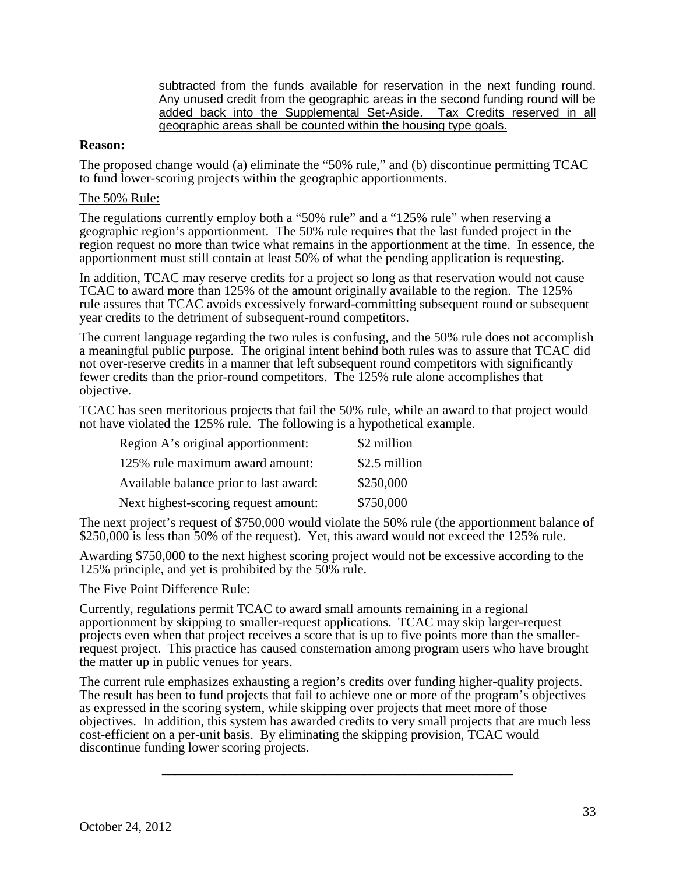subtracted from the funds available for reservation in the next funding round. subtracted from the funds available for reservation in the next funding round.<br>Any unused credit from the geographic areas in the second funding round will be added back into the Supplemental Set-Aside. Tax Credits reserved in all geographic areas shall be counted within the housing type goals.

### **Reason:**

The proposed change would (a) eliminate the "50% rule," and (b) discontinue permitting TCAC to fund lower-scoring projects within the geographic apportionments.

#### The 50% Rule:

 The regulations currently employ both a "50% rule" and a "125% rule" when reserving a geographic region's apportionment. The 50% rule requires that the last funded project in the region request no more than twice what remains in the apportionment at the time. In essence, the apportionment must still contain at least 50% of what the pending application is requesting.

In addition, TCAC may reserve credits for a project so long as that reservation would not cause TCAC to award more than 125% of the amount originally available to the region. The 125% rule assures that TCAC avoids excessively forward-committing subsequent round or subsequent year credits to the detriment of subsequent-round competitors.

The current language regarding the two rules is confusing, and the 50% rule does not accomplish a meaningful public purpose. The original intent behind both rules was to assure that TCAC did not over-reserve credits in a manner that left subsequent round competitors with significantly fewer credits than the prior-round competitors. The 125% rule alone accomplishes that objective.

TCAC has seen meritorious projects that fail the 50% rule, while an award to that project would not have violated the 125% rule. The following is a hypothetical example.

| Region A's original apportionment:     | \$2 million   |
|----------------------------------------|---------------|
| 125% rule maximum award amount:        | \$2.5 million |
| Available balance prior to last award: | \$250,000     |
| Next highest-scoring request amount:   | \$750,000     |

The next project's request of \$750,000 would violate the 50% rule (the apportionment balance of \$250,000 is less than 50% of the request). Yet, this award would not exceed the 125% rule.

Awarding \$750,000 to the next highest scoring project would not be excessive according to the 125% principle, and yet is prohibited by the 50% rule.

#### The Five Point Difference Rule:

 the matter up in public venues for years. Currently, regulations permit TCAC to award small amounts remaining in a regional apportionment by skipping to smaller-request applications. TCAC may skip larger-request projects even when that project receives a score that is up to five points more than the smallerrequest project. This practice has caused consternation among program users who have brought

 objectives. In addition, this system has awarded credits to very small projects that are much less The current rule emphasizes exhausting a region's credits over funding higher-quality projects. The result has been to fund projects that fail to achieve one or more of the program's objectives as expressed in the scoring system, while skipping over projects that meet more of those cost-efficient on a per-unit basis. By eliminating the skipping provision, TCAC would discontinue funding lower scoring projects.

\_\_\_\_\_\_\_\_\_\_\_\_\_\_\_\_\_\_\_\_\_\_\_\_\_\_\_\_\_\_\_\_\_\_\_\_\_\_\_\_\_\_\_\_\_\_\_\_\_\_\_\_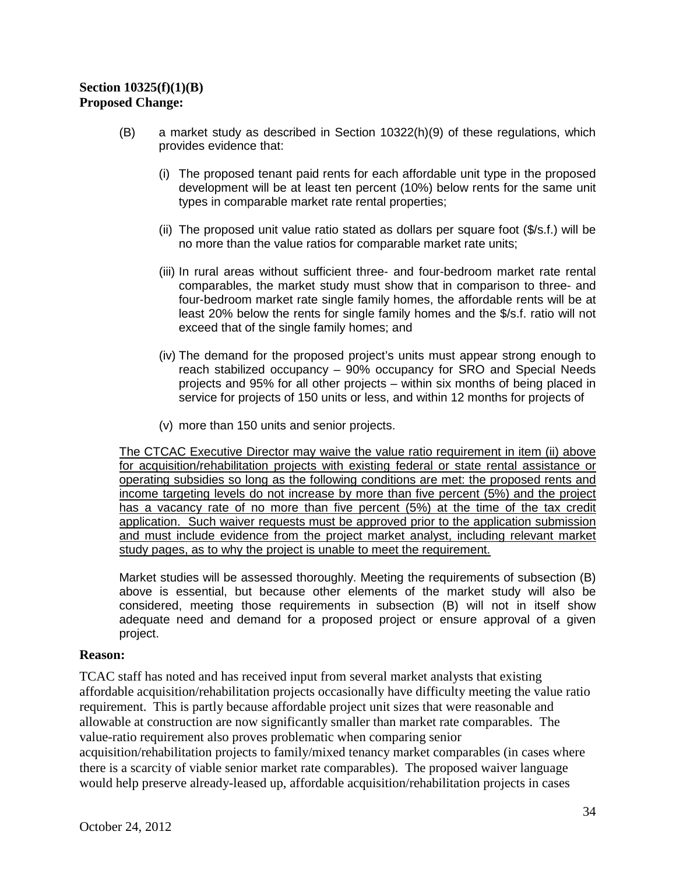# **Section 10325(f)(1)(B) Proposed Change:**

- (B) a market study as described in Section 10322(h)(9) of these regulations, which provides evidence that:
	- types in comparable market rate rental properties; (i) The proposed tenant paid rents for each affordable unit type in the proposed development will be at least ten percent (10%) below rents for the same unit
	- (ii) The proposed unit value ratio stated as dollars per square foot (\$/s.f.) will be no more than the value ratios for comparable market rate units;
	- comparables, the market study must show that in comparison to three- and four-bedroom market rate single family homes, the affordable rents will be at least 20% below the rents for single family homes and the \$/s.f. ratio will not (iii) In rural areas without sufficient three- and four-bedroom market rate rental exceed that of the single family homes; and
	- (iv) The demand for the proposed project's units must appear strong enough to projects and 95% for all other projects – within six months of being placed in service for projects of 150 units or less, and within 12 months for projects of reach stabilized occupancy – 90% occupancy for SRO and Special Needs
	- (v) more than 150 units and senior projects.

 for acquisition/rehabilitation projects with existing federal or state rental assistance or study pages, as to why the project is unable to meet the requirement. The CTCAC Executive Director may waive the value ratio requirement in item (ii) above operating subsidies so long as the following conditions are met: the proposed rents and income targeting levels do not increase by more than five percent (5%) and the project has a vacancy rate of no more than five percent (5%) at the time of the tax credit application. Such waiver requests must be approved prior to the application submission and must include evidence from the project market analyst, including relevant market

 above is essential, but because other elements of the market study will also be considered, meeting those requirements in subsection (B) will not in itself show adequate need and demand for a proposed project or ensure approval of a given Market studies will be assessed thoroughly. Meeting the requirements of subsection (B) project.

#### **Reason:**

 there is a scarcity of viable senior market rate comparables). The proposed waiver language TCAC staff has noted and has received input from several market analysts that existing affordable acquisition/rehabilitation projects occasionally have difficulty meeting the value ratio requirement. This is partly because affordable project unit sizes that were reasonable and allowable at construction are now significantly smaller than market rate comparables. The value-ratio requirement also proves problematic when comparing senior acquisition/rehabilitation projects to family/mixed tenancy market comparables (in cases where would help preserve already-leased up, affordable acquisition/rehabilitation projects in cases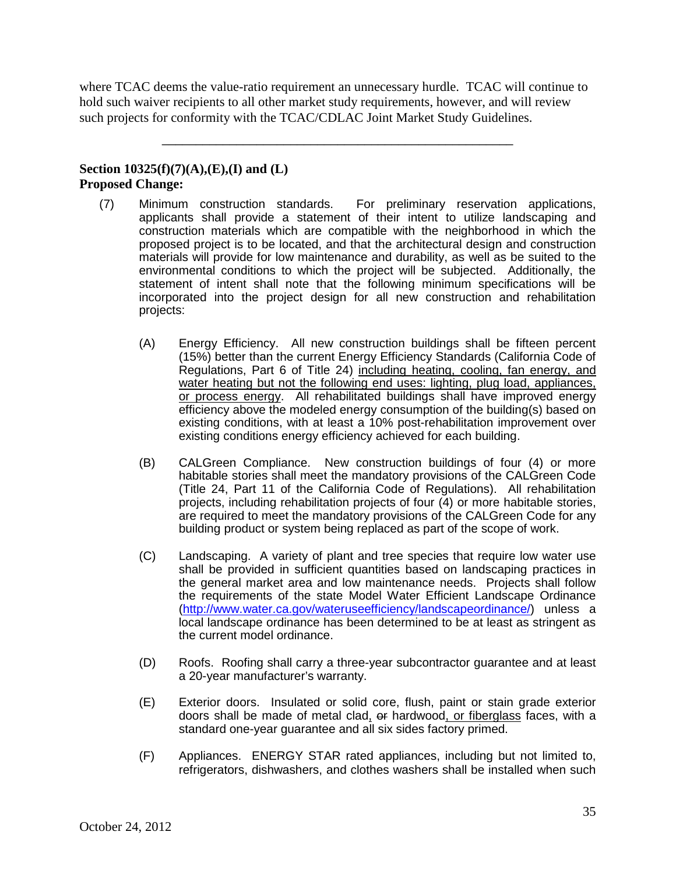such projects for conformity with the TCAC/CDLAC Joint Market Study Guidelines. where TCAC deems the value-ratio requirement an unnecessary hurdle. TCAC will continue to hold such waiver recipients to all other market study requirements, however, and will review

\_\_\_\_\_\_\_\_\_\_\_\_\_\_\_\_\_\_\_\_\_\_\_\_\_\_\_\_\_\_\_\_\_\_\_\_\_\_\_\_\_\_\_\_\_\_\_\_\_\_\_\_

# **Section 10325(f)(7)(A),(E),(I) and (L) Proposed Change:**

- incorporated into the project design for all new construction and rehabilitation (7) Minimum construction standards. For preliminary reservation applications, applicants shall provide a statement of their intent to utilize landscaping and construction materials which are compatible with the neighborhood in which the proposed project is to be located, and that the architectural design and construction materials will provide for low maintenance and durability, as well as be suited to the environmental conditions to which the project will be subjected. Additionally, the statement of intent shall note that the following minimum specifications will be projects:
	- (15%) better than the current Energy Efficiency Standards (California Code of Regulations, Part 6 of Title 24) including heating, cooling, fan energy, and or process energy. All rehabilitated buildings shall have improved energy (A) Energy Efficiency. All new construction buildings shall be fifteen percent water heating but not the following end uses: lighting, plug load, appliances, efficiency above the modeled energy consumption of the building(s) based on existing conditions, with at least a 10% post-rehabilitation improvement over existing conditions energy efficiency achieved for each building.
	- (Title 24, Part 11 of the California Code of Regulations). All rehabilitation (B) CALGreen Compliance. New construction buildings of four (4) or more habitable stories shall meet the mandatory provisions of the CALGreen Code projects, including rehabilitation projects of four  $(4)$  or more habitable stories, are required to meet the mandatory provisions of the CALGreen Code for any building product or system being replaced as part of the scope of work.
	- (C) Landscaping. A variety of plant and tree species that require low water use the general market area and low maintenance needs. Projects shall follow [\(http://www.water.ca.gov/wateruseefficiency/landscapeordinance/\)](http://www.water.ca.gov/wateruseefficiency/landscapeordinance/) unless a local landscape ordinance has been determined to be at least as stringent as shall be provided in sufficient quantities based on landscaping practices in the requirements of the state Model Water Efficient Landscape Ordinance the current model ordinance.
	- (D) Roofs. Roofing shall carry a three-year subcontractor guarantee and at least a 20-year manufacturer's warranty.
	- (E) Exterior doors. Insulated or solid core, flush, paint or stain grade exterior doors shall be made of metal clad, <del>or</del> hardwood<u>, or fiberglass</u> faces, with a standard one-year guarantee and all six sides factory primed.
	- (F) Appliances. ENERGY STAR rated appliances, including but not limited to, refrigerators, dishwashers, and clothes washers shall be installed when such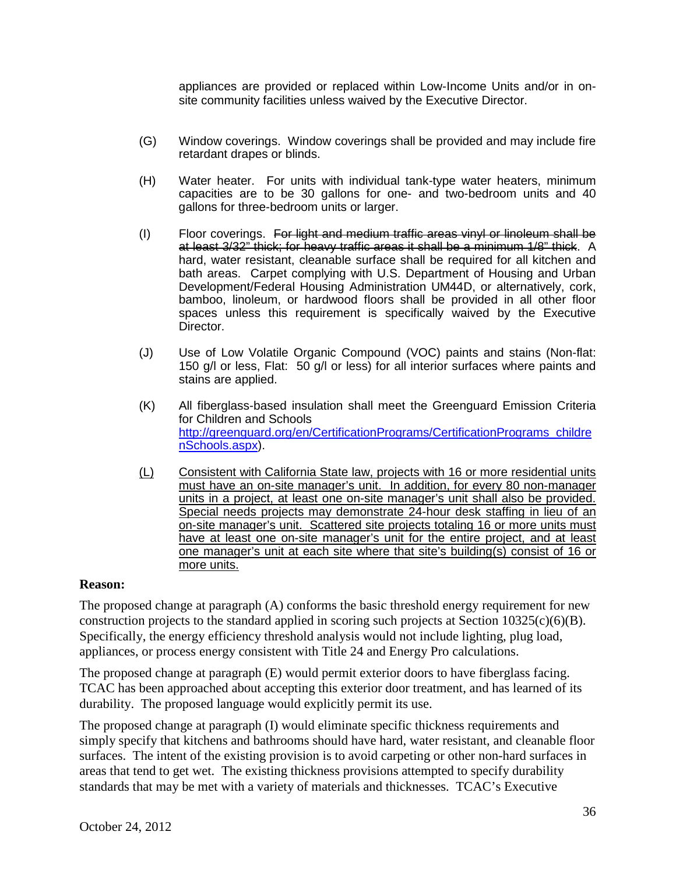appliances are provided or replaced within Low-Income Units and/or in onsite community facilities unless waived by the Executive Director.

- (G) Window coverings. Window coverings shall be provided and may include fire retardant drapes or blinds.
- capacities are to be 30 gallons for one- and two-bedroom units and 40 (H) Water heater. For units with individual tank-type water heaters, minimum gallons for three-bedroom units or larger.
- bath areas. Carpet complying with U.S. Department of Housing and Urban bamboo, linoleum, or hardwood floors shall be provided in all other floor (I) Floor coverings. For light and medium traffic areas vinyl or linoleum shall be at least 3/32" thick; for heavy traffic areas it shall be a minimum 1/8" thick. A hard, water resistant, cleanable surface shall be required for all kitchen and Development/Federal Housing Administration UM44D, or alternatively, cork, spaces unless this requirement is specifically waived by the Executive Director.
- 150 g/l or less, Flat: 50 g/l or less) for all interior surfaces where paints and (J) Use of Low Volatile Organic Compound (VOC) paints and stains (Non-flat: stains are applied.
- (K) All fiberglass-based insulation shall meet the Greenguard Emission Criteria for Children and Schools [http://greenguard.org/en/CertificationPrograms/CertificationPrograms\\_childre](http://greenguard.org/en/CertificationPrograms/CertificationPrograms_childrenSchools.aspx)  [nSchools.aspx\)](http://greenguard.org/en/CertificationPrograms/CertificationPrograms_childrenSchools.aspx).
- (L) Consistent with California State law, projects with 16 or more residential units units in a project, at least one on-site manager's unit shall also be provided. units in a project, at least one on-site manager's unit shall also be provided.<br>Special needs projects may demonstrate 24-hour desk staffing in lieu of an on-site manager's unit. Scattered site projects totaling 16 or more units must have at least one on-site manager's unit for the entire project, and at least more units. must have an on-site manager's unit. In addition, for every 80 non-manager one manager's unit at each site where that site's building(s) consist of 16 or

#### **Reason:**

The proposed change at paragraph (A) conforms the basic threshold energy requirement for new construction projects to the standard applied in scoring such projects at Section  $10325(c)(6)(B)$ . Specifically, the energy efficiency threshold analysis would not include lighting, plug load, appliances, or process energy consistent with Title 24 and Energy Pro calculations.

The proposed change at paragraph (E) would permit exterior doors to have fiberglass facing. TCAC has been approached about accepting this exterior door treatment, and has learned of its durability. The proposed language would explicitly permit its use.

 standards that may be met with a variety of materials and thicknesses. TCAC's Executive The proposed change at paragraph (I) would eliminate specific thickness requirements and simply specify that kitchens and bathrooms should have hard, water resistant, and cleanable floor surfaces. The intent of the existing provision is to avoid carpeting or other non-hard surfaces in areas that tend to get wet. The existing thickness provisions attempted to specify durability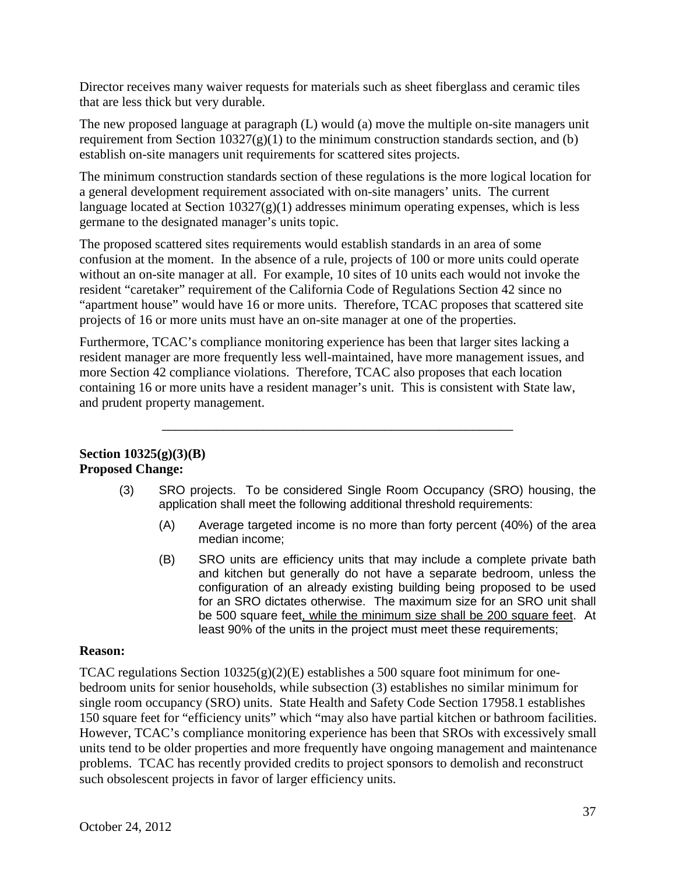that are less thick but very durable. Director receives many waiver requests for materials such as sheet fiberglass and ceramic tiles

establish on-site managers unit requirements for scattered sites projects. The new proposed language at paragraph (L) would (a) move the multiple on-site managers unit requirement from Section  $10327(g)(1)$  to the minimum construction standards section, and (b)

The minimum construction standards section of these regulations is the more logical location for a general development requirement associated with on-site managers' units. The current language located at Section  $10327(g)(1)$  addresses minimum operating expenses, which is less germane to the designated manager's units topic.

 confusion at the moment. In the absence of a rule, projects of 100 or more units could operate projects of 16 or more units must have an on-site manager at one of the properties. The proposed scattered sites requirements would establish standards in an area of some without an on-site manager at all. For example, 10 sites of 10 units each would not invoke the resident "caretaker" requirement of the California Code of Regulations Section 42 since no "apartment house" would have 16 or more units. Therefore, TCAC proposes that scattered site

Furthermore, TCAC's compliance monitoring experience has been that larger sites lacking a resident manager are more frequently less well-maintained, have more management issues, and more Section 42 compliance violations. Therefore, TCAC also proposes that each location containing 16 or more units have a resident manager's unit. This is consistent with State law, and prudent property management.

\_\_\_\_\_\_\_\_\_\_\_\_\_\_\_\_\_\_\_\_\_\_\_\_\_\_\_\_\_\_\_\_\_\_\_\_\_\_\_\_\_\_\_\_\_\_\_\_\_\_\_\_

# **Section 10325(g)(3)(B) Proposed Change:**

- (3) SRO projects. To be considered Single Room Occupancy (SRO) housing, the application shall meet the following additional threshold requirements:
	- (A) Average targeted income is no more than forty percent (40%) of the area median income;
	- for an SRO dictates otherwise. The maximum size for an SRO unit shall least 90% of the units in the project must meet these requirements; (B) SRO units are efficiency units that may include a complete private bath and kitchen but generally do not have a separate bedroom, unless the configuration of an already existing building being proposed to be used be 500 square feet, while the minimum size shall be 200 square feet. At

# **Reason:**

 such obsolescent projects in favor of larger efficiency units. TCAC regulations Section  $10325(g)(2)(E)$  establishes a 500 square foot minimum for onebedroom units for senior households, while subsection (3) establishes no similar minimum for single room occupancy (SRO) units. State Health and Safety Code Section 17958.1 establishes 150 square feet for "efficiency units" which "may also have partial kitchen or bathroom facilities. However, TCAC's compliance monitoring experience has been that SROs with excessively small units tend to be older properties and more frequently have ongoing management and maintenance problems. TCAC has recently provided credits to project sponsors to demolish and reconstruct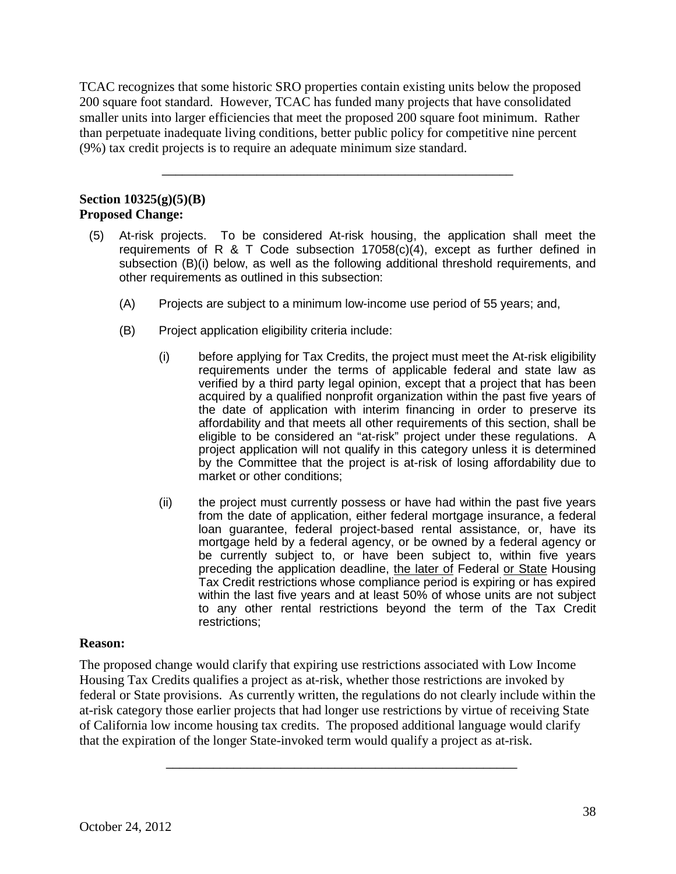TCAC recognizes that some historic SRO properties contain existing units below the proposed 200 square foot standard. However, TCAC has funded many projects that have consolidated smaller units into larger efficiencies that meet the proposed 200 square foot minimum. Rather than perpetuate inadequate living conditions, better public policy for competitive nine percent (9%) tax credit projects is to require an adequate minimum size standard.

\_\_\_\_\_\_\_\_\_\_\_\_\_\_\_\_\_\_\_\_\_\_\_\_\_\_\_\_\_\_\_\_\_\_\_\_\_\_\_\_\_\_\_\_\_\_\_\_\_\_\_\_

# **Section 10325(g)(5)(B) Proposed Change:**

- (5) At-risk projects. To be considered At-risk housing, the application shall meet the requirements of R  $&$  T Code subsection 17058(c)(4), except as further defined in subsection (B)(i) below, as well as the following additional threshold requirements, and other requirements as outlined in this subsection:
	- (A) Projects are subject to a minimum low-income use period of 55 years; and,
	- (B) Project application eligibility criteria include:
		- (i) before applying for Tax Credits, the project must meet the At-risk eligibility the date of application with interim financing in order to preserve its eligible to be considered an "at-risk" project under these regulations. A requirements under the terms of applicable federal and state law as verified by a third party legal opinion, except that a project that has been acquired by a qualified nonprofit organization within the past five years of affordability and that meets all other requirements of this section, shall be project application will not qualify in this category unless it is determined by the Committee that the project is at-risk of losing affordability due to market or other conditions;
		- from the date of application, either federal mortgage insurance, a federal loan guarantee, federal project-based rental assistance, or, have its mortgage held by a federal agency, or be owned by a federal agency or  within the last five years and at least 50% of whose units are not subject (ii) the project must currently possess or have had within the past five years be currently subject to, or have been subject to, within five years preceding the application deadline, the later of Federal or State Housing Tax Credit restrictions whose compliance period is expiring or has expired to any other rental restrictions beyond the term of the Tax Credit restrictions;

# **Reason:**

 The proposed change would clarify that expiring use restrictions associated with Low Income Housing Tax Credits qualifies a project as at-risk, whether those restrictions are invoked by federal or State provisions. As currently written, the regulations do not clearly include within the at-risk category those earlier projects that had longer use restrictions by virtue of receiving State of California low income housing tax credits. The proposed additional language would clarify that the expiration of the longer State-invoked term would qualify a project as at-risk.

\_\_\_\_\_\_\_\_\_\_\_\_\_\_\_\_\_\_\_\_\_\_\_\_\_\_\_\_\_\_\_\_\_\_\_\_\_\_\_\_\_\_\_\_\_\_\_\_\_\_\_\_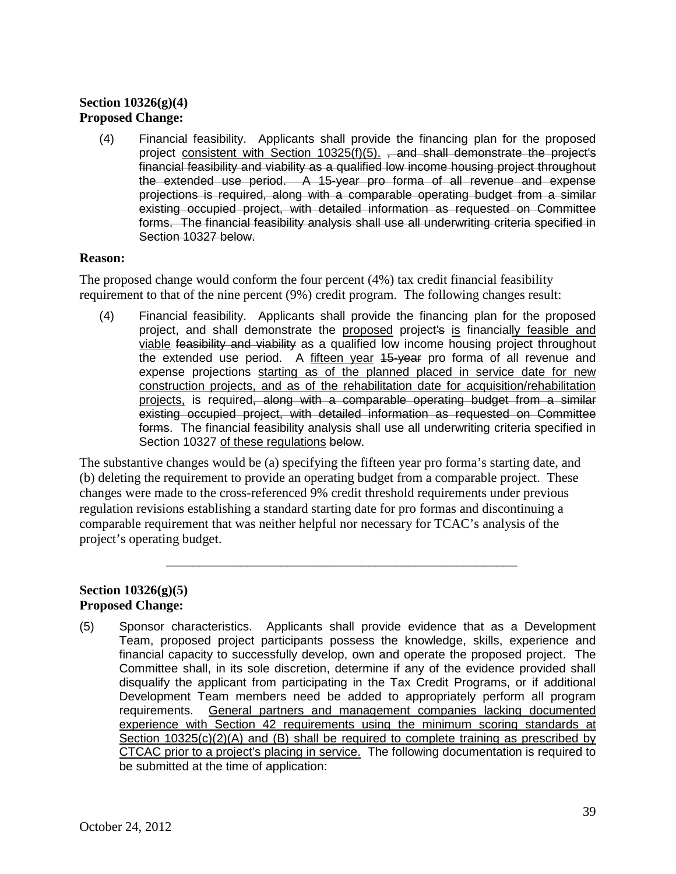# **Section 10326(g)(4) Proposed Change:**

 financial feasibility and viability as a qualified low income housing project throughout forms. The financial feasibility analysis shall use all underwriting criteria specified in (4) Financial feasibility. Applicants shall provide the financing plan for the proposed project consistent with Section 10325(f)(5).  $\frac{1}{2}$  and shall demonstrate the project's the extended use period. A 15-year pro forma of all revenue and expense projections is required, along with a comparable operating budget from a similar existing occupied project, with detailed information as requested on Committee Section 10327 below.

### **Reason:**

 requirement to that of the nine percent (9%) credit program. The following changes result: The proposed change would conform the four percent (4%) tax credit financial feasibility

project, and shall demonstrate the proposed project's is financially feasible and the extended use period. A fifteen year 15-year pro forma of all revenue and forms. The financial feasibility analysis shall use all underwriting criteria specified in (4) Financial feasibility. Applicants shall provide the financing plan for the proposed viable feasibility and viability as a qualified low income housing project throughout expense projections starting as of the planned placed in service date for new construction projects, and as of the rehabilitation date for acquisition/rehabilitation projects, is required, along with a comparable operating budget from a similar existing occupied project, with detailed information as requested on Committee Section 10327 of these regulations below.

 The substantive changes would be (a) specifying the fifteen year pro forma's starting date, and (b) deleting the requirement to provide an operating budget from a comparable project. These changes were made to the cross-referenced 9% credit threshold requirements under previous regulation revisions establishing a standard starting date for pro formas and discontinuing a comparable requirement that was neither helpful nor necessary for TCAC's analysis of the project's operating budget.

\_\_\_\_\_\_\_\_\_\_\_\_\_\_\_\_\_\_\_\_\_\_\_\_\_\_\_\_\_\_\_\_\_\_\_\_\_\_\_\_\_\_\_\_\_\_\_\_\_\_\_\_

### **Section 10326(g)(5) Proposed Change:**

 Team, proposed project participants possess the knowledge, skills, experience and financial capacity to successfully develop, own and operate the proposed project. The disqualify the applicant from participating in the Tax Credit Programs, or if additional Section 10325(c)(2)(A) and (B) shall be required to complete training as prescribed by CTCAC prior to a project's placing in service. The following documentation is required to (5) Sponsor characteristics. Applicants shall provide evidence that as a Development Committee shall, in its sole discretion, determine if any of the evidence provided shall Development Team members need be added to appropriately perform all program<br>requirements. General partners and management companies lacking documented General partners and management companies lacking documented experience with Section 42 requirements using the minimum scoring standards at be submitted at the time of application: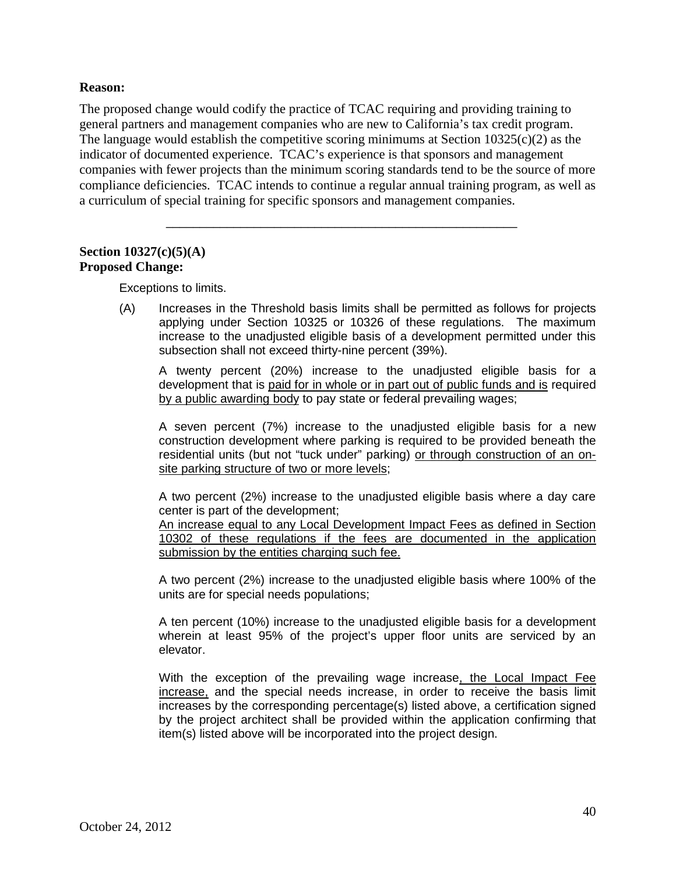### **Reason:**

general partners and management companies who are new to California's tax credit program. The proposed change would codify the practice of TCAC requiring and providing training to The language would establish the competitive scoring minimums at Section  $10325(c)(2)$  as the indicator of documented experience. TCAC's experience is that sponsors and management companies with fewer projects than the minimum scoring standards tend to be the source of more compliance deficiencies. TCAC intends to continue a regular annual training program, as well as a curriculum of special training for specific sponsors and management companies.

\_\_\_\_\_\_\_\_\_\_\_\_\_\_\_\_\_\_\_\_\_\_\_\_\_\_\_\_\_\_\_\_\_\_\_\_\_\_\_\_\_\_\_\_\_\_\_\_\_\_\_\_

#### **Section 10327(c)(5)(A) Proposed Change:**

Exceptions to limits.

 increase to the unadjusted eligible basis of a development permitted under this (A) Increases in the Threshold basis limits shall be permitted as follows for projects applying under Section 10325 or 10326 of these regulations. The maximum subsection shall not exceed thirty-nine percent (39%).

 A twenty percent (20%) increase to the unadjusted eligible basis for a development that is paid for in whole or in part out of public funds and is required by a public awarding body to pay state or federal prevailing wages;

 A seven percent (7%) increase to the unadjusted eligible basis for a new construction development where parking is required to be provided beneath the residential units (but not "tuck under" parking) or through construction of an onsite parking structure of two or more levels;

 A two percent (2%) increase to the unadjusted eligible basis where a day care center is part of the development;

An increase equal to any Local Development Impact Fees as defined in Section 10302 of these regulations if the fees are documented in the application submission by the entities charging such fee.

 units are for special needs populations; A two percent (2%) increase to the unadjusted eligible basis where 100% of the

A ten percent (10%) increase to the unadjusted eligible basis for a development wherein at least 95% of the project's upper floor units are serviced by an elevator.

With the exception of the prevailing wage increase<u>, the Local Impact Fee</u> by the project architect shall be provided within the application confirming that increase, and the special needs increase, in order to receive the basis limit increases by the corresponding percentage(s) listed above, a certification signed item(s) listed above will be incorporated into the project design.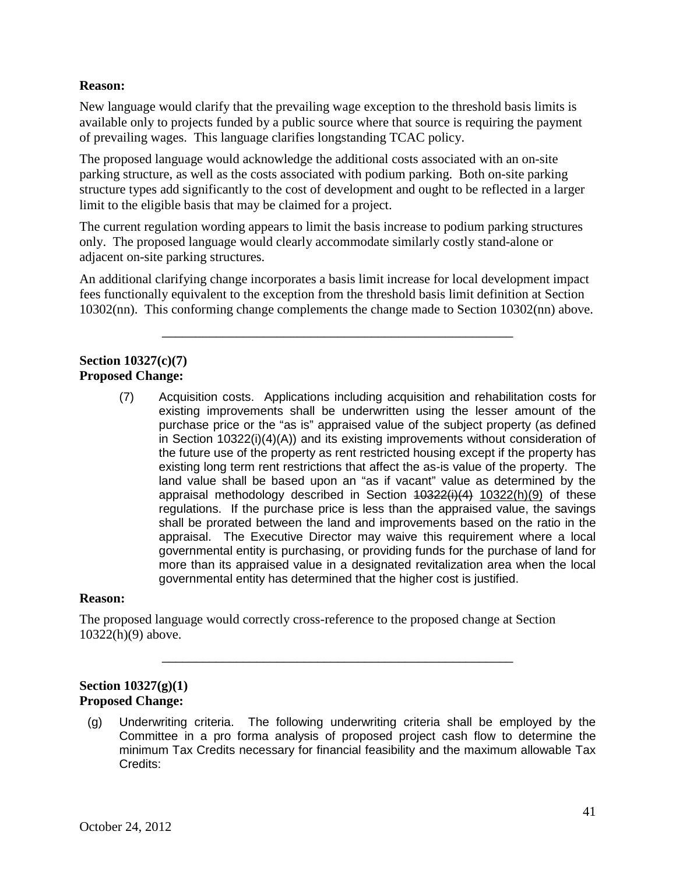### **Reason:**

New language would clarify that the prevailing wage exception to the threshold basis limits is available only to projects funded by a public source where that source is requiring the payment of prevailing wages. This language clarifies longstanding TCAC policy.

limit to the eligible basis that may be claimed for a project. The proposed language would acknowledge the additional costs associated with an on-site parking structure, as well as the costs associated with podium parking. Both on-site parking structure types add significantly to the cost of development and ought to be reflected in a larger

The current regulation wording appears to limit the basis increase to podium parking structures only. The proposed language would clearly accommodate similarly costly stand-alone or adjacent on-site parking structures.

An additional clarifying change incorporates a basis limit increase for local development impact fees functionally equivalent to the exception from the threshold basis limit definition at Section 10302(nn). This conforming change complements the change made to Section 10302(nn) above.

\_\_\_\_\_\_\_\_\_\_\_\_\_\_\_\_\_\_\_\_\_\_\_\_\_\_\_\_\_\_\_\_\_\_\_\_\_\_\_\_\_\_\_\_\_\_\_\_\_\_\_\_

## **Section 10327(c)(7) Proposed Change:**

 purchase price or the "as is" appraised value of the subject property (as defined existing long term rent restrictions that affect the as-is value of the property. The land value shall be based upon an "as if vacant" value as determined by the regulations. If the purchase price is less than the appraised value, the savings governmental entity is purchasing, or providing funds for the purchase of land for (7) Acquisition costs. Applications including acquisition and rehabilitation costs for existing improvements shall be underwritten using the lesser amount of the in Section 10322(i)(4)(A)) and its existing improvements without consideration of the future use of the property as rent restricted housing except if the property has appraisal methodology described in Section 40322(i)(4) 10322(h)(9) of these shall be prorated between the land and improvements based on the ratio in the appraisal. The Executive Director may waive this requirement where a local more than its appraised value in a designated revitalization area when the local governmental entity has determined that the higher cost is justified.

### **Reason:**

The proposed language would correctly cross-reference to the proposed change at Section 10322(h)(9) above.

### **Section 10327(g)(1) Proposed Change:**

(g) Underwriting criteria. The following underwriting criteria shall be employed by the Committee in a pro forma analysis of proposed project cash flow to determine the minimum Tax Credits necessary for financial feasibility and the maximum allowable Tax Credits:

\_\_\_\_\_\_\_\_\_\_\_\_\_\_\_\_\_\_\_\_\_\_\_\_\_\_\_\_\_\_\_\_\_\_\_\_\_\_\_\_\_\_\_\_\_\_\_\_\_\_\_\_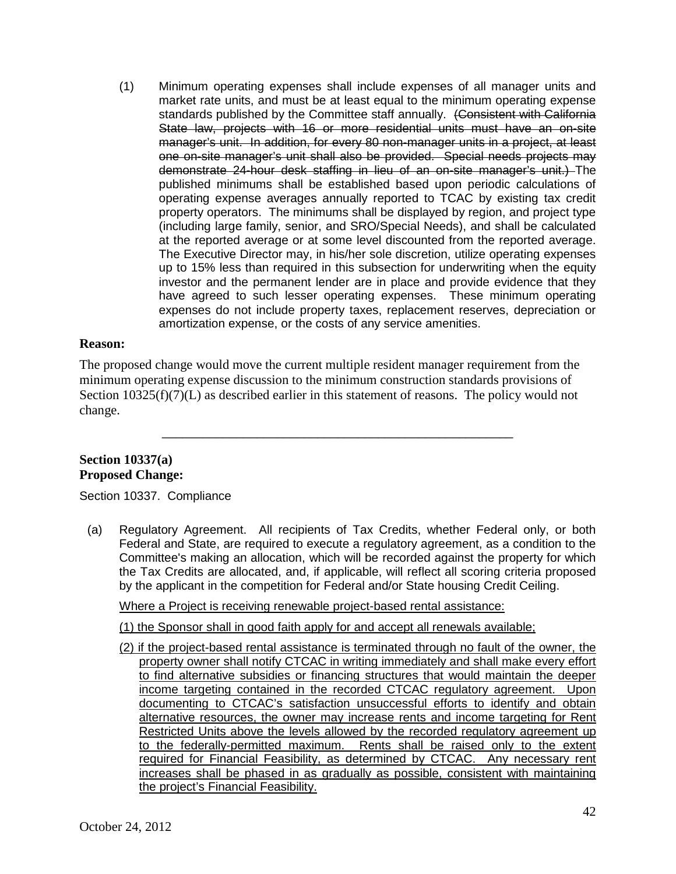standards published by the Committee staff annually. (Consistent with California one on-site manager's unit shall also be provided. Special needs projects may operating expense averages annually reported to TCAC by existing tax credit property operators. The minimums shall be displayed by region, and project type at the reported average or at some level discounted from the reported average. at the reported average or at some level discounted from the reported average.<br>The Executive Director may, in his/her sole discretion, utilize operating expenses up to 15% less than required in this subsection for underwriting when the equity investor and the permanent lender are in place and provide evidence that they (1) Minimum operating expenses shall include expenses of all manager units and market rate units, and must be at least equal to the minimum operating expense State law, projects with 16 or more residential units must have an on-site manager's unit. In addition, for every 80 non-manager units in a project, at least demonstrate 24-hour desk staffing in lieu of an on-site manager's unit.) The published minimums shall be established based upon periodic calculations of (including large family, senior, and SRO/Special Needs), and shall be calculated have agreed to such lesser operating expenses. These minimum operating expenses do not include property taxes, replacement reserves, depreciation or amortization expense, or the costs of any service amenities.

### **Reason:**

Section 10325(f)(7)(L) as described earlier in this statement of reasons. The policy would not The proposed change would move the current multiple resident manager requirement from the minimum operating expense discussion to the minimum construction standards provisions of change.

\_\_\_\_\_\_\_\_\_\_\_\_\_\_\_\_\_\_\_\_\_\_\_\_\_\_\_\_\_\_\_\_\_\_\_\_\_\_\_\_\_\_\_\_\_\_\_\_\_\_\_\_

### **Section 10337(a) Proposed Change:**

Section 10337. Compliance

 Federal and State, are required to execute a regulatory agreement, as a condition to the (a) Regulatory Agreement. All recipients of Tax Credits, whether Federal only, or both Committee's making an allocation, which will be recorded against the property for which the Tax Credits are allocated, and, if applicable, will reflect all scoring criteria proposed by the applicant in the competition for Federal and/or State housing Credit Ceiling.

Where a Project is receiving renewable project-based rental assistance:

(1) the Sponsor shall in good faith apply for and accept all renewals available;

 income targeting contained in the recorded CTCAC regulatory agreement. Upon documenting to CTCAC's satisfaction unsuccessful efforts to identify and obtain alternative resources, the owner may increase rents and income targeting for Rent required for Financial Feasibility, as determined by CTCAC. Any necessary rent (2) if the project-based rental assistance is terminated through no fault of the owner, the property owner shall notify CTCAC in writing immediately and shall make every effort to find alternative subsidies or financing structures that would maintain the deeper Restricted Units above the levels allowed by the recorded regulatory agreement up to the federally-permitted maximum. Rents shall be raised only to the extent increases shall be phased in as gradually as possible, consistent with maintaining the project's Financial Feasibility.